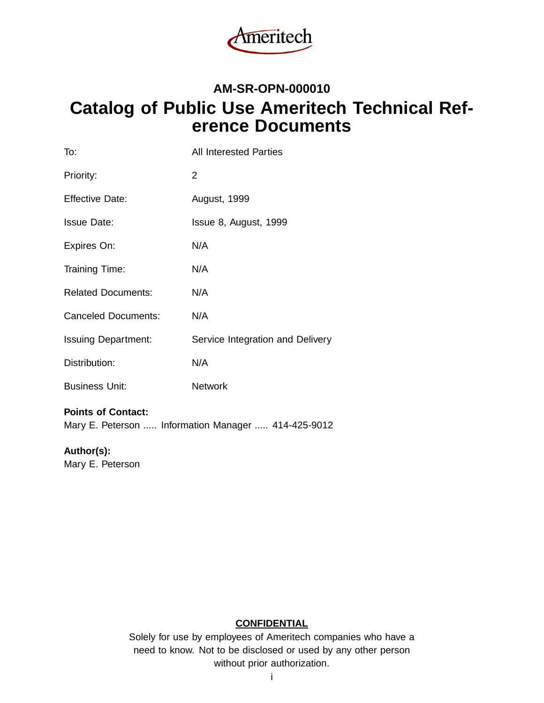

## **AM-SR-OPN-000010 Catalog of Public Use Ameritech Technical Reference Documents**

| To:                        | <b>All Interested Parties</b>    |
|----------------------------|----------------------------------|
| Priority:                  | 2                                |
| <b>Effective Date:</b>     | August, 1999                     |
| <b>Issue Date:</b>         | Issue 8, August, 1999            |
| Expires On:                | N/A                              |
| <b>Training Time:</b>      | N/A                              |
| <b>Related Documents:</b>  | N/A                              |
| <b>Canceled Documents:</b> | N/A                              |
| <b>Issuing Department:</b> | Service Integration and Delivery |
| Distribution:              | N/A                              |
| <b>Business Unit:</b>      | <b>Network</b>                   |

#### **Points of Contact:**

Mary E. Peterson ..... Information Manager ..... 414-425-9012

#### **Author(s):**

Mary E. Peterson

#### **CONFIDENTIAL**

Solely for use by employees of Ameritech companies who have a need to know. Not to be disclosed or used by any other person without prior authorization.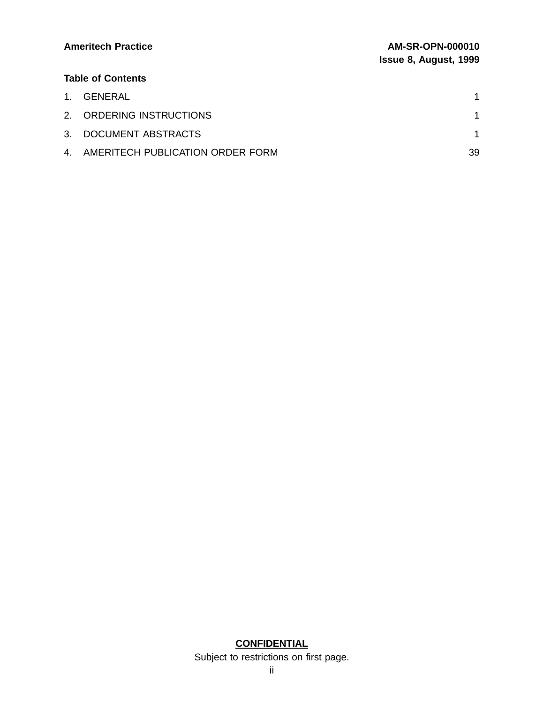| <b>Ameritech Practice</b> | <b>AM-SR-OPN-000010</b><br><b>Issue 8, August, 1999</b> |
|---------------------------|---------------------------------------------------------|
| <b>Table of Contents</b>  |                                                         |
| 1. GENERAL                |                                                         |
| 2. ORDERING INSTRUCTIONS  |                                                         |

| 3. DOCUMENT ABSTRACTS               |  |
|-------------------------------------|--|
| 4. AMERITECH PUBLICATION ORDER FORM |  |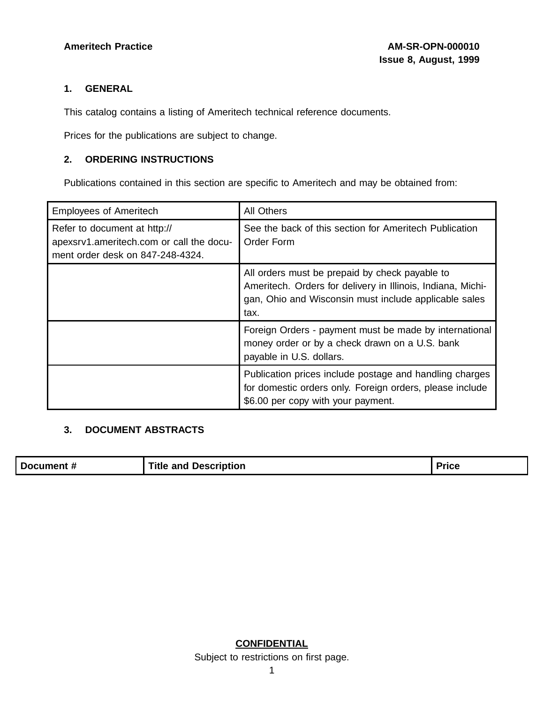#### **1. GENERAL**

This catalog contains a listing of Ameritech technical reference documents.

Prices for the publications are subject to change.

#### **2. ORDERING INSTRUCTIONS**

Publications contained in this section are specific to Ameritech and may be obtained from:

| <b>Employees of Ameritech</b>                                                                                | All Others                                                                                                                                                                     |
|--------------------------------------------------------------------------------------------------------------|--------------------------------------------------------------------------------------------------------------------------------------------------------------------------------|
| Refer to document at http://<br>apexsrv1.ameritech.com or call the docu-<br>ment order desk on 847-248-4324. | See the back of this section for Ameritech Publication<br>Order Form                                                                                                           |
|                                                                                                              | All orders must be prepaid by check payable to<br>Ameritech. Orders for delivery in Illinois, Indiana, Michi-<br>gan, Ohio and Wisconsin must include applicable sales<br>tax. |
|                                                                                                              | Foreign Orders - payment must be made by international<br>money order or by a check drawn on a U.S. bank<br>payable in U.S. dollars.                                           |
|                                                                                                              | Publication prices include postage and handling charges<br>for domestic orders only. Foreign orders, please include<br>\$6.00 per copy with your payment.                      |

#### **3. DOCUMENT ABSTRACTS**

|--|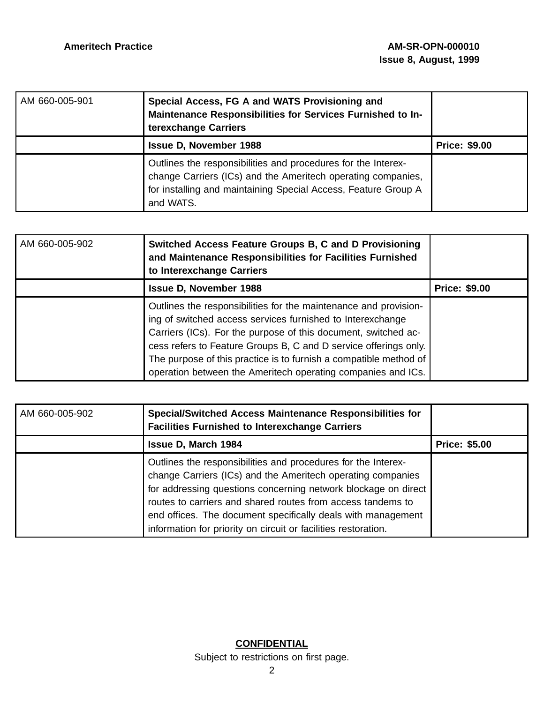| AM 660-005-901 | Special Access, FG A and WATS Provisioning and<br>Maintenance Responsibilities for Services Furnished to In-<br>terexchange Carriers                                                                         |                      |
|----------------|--------------------------------------------------------------------------------------------------------------------------------------------------------------------------------------------------------------|----------------------|
|                | <b>Issue D, November 1988</b>                                                                                                                                                                                | <b>Price: \$9.00</b> |
|                | Outlines the responsibilities and procedures for the Interex-<br>change Carriers (ICs) and the Ameritech operating companies,<br>for installing and maintaining Special Access, Feature Group A<br>and WATS. |                      |

| AM 660-005-902 | Switched Access Feature Groups B, C and D Provisioning<br>and Maintenance Responsibilities for Facilities Furnished<br>to Interexchange Carriers                                                                                                                                                                                                                                                          |                      |
|----------------|-----------------------------------------------------------------------------------------------------------------------------------------------------------------------------------------------------------------------------------------------------------------------------------------------------------------------------------------------------------------------------------------------------------|----------------------|
|                | <b>Issue D, November 1988</b>                                                                                                                                                                                                                                                                                                                                                                             | <b>Price: \$9.00</b> |
|                | Outlines the responsibilities for the maintenance and provision-<br>ing of switched access services furnished to Interexchange<br>Carriers (ICs). For the purpose of this document, switched ac-<br>cess refers to Feature Groups B, C and D service offerings only.<br>The purpose of this practice is to furnish a compatible method of<br>operation between the Ameritech operating companies and ICs. |                      |

| AM 660-005-902 | <b>Special/Switched Access Maintenance Responsibilities for</b><br><b>Facilities Furnished to Interexchange Carriers</b>                                                                                                                                                                                                                                                                        |                      |
|----------------|-------------------------------------------------------------------------------------------------------------------------------------------------------------------------------------------------------------------------------------------------------------------------------------------------------------------------------------------------------------------------------------------------|----------------------|
|                | <b>Issue D, March 1984</b>                                                                                                                                                                                                                                                                                                                                                                      | <b>Price: \$5.00</b> |
|                | Outlines the responsibilities and procedures for the Interex-<br>change Carriers (ICs) and the Ameritech operating companies<br>for addressing questions concerning network blockage on direct<br>routes to carriers and shared routes from access tandems to<br>end offices. The document specifically deals with management<br>information for priority on circuit or facilities restoration. |                      |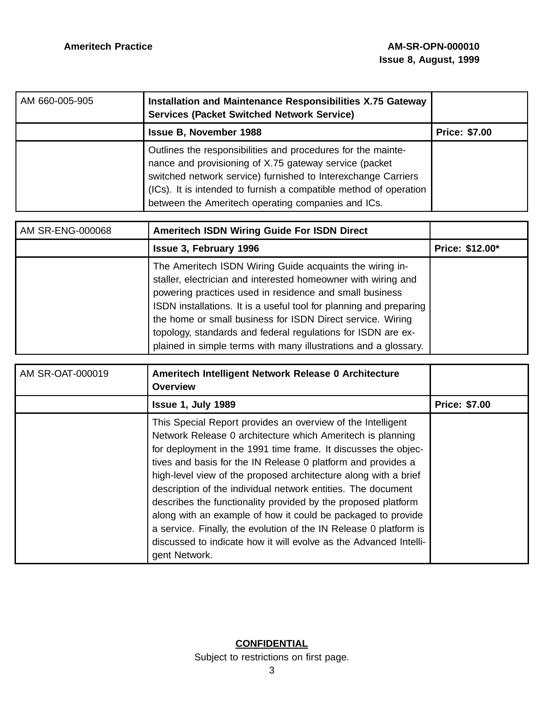| AM 660-005-905 | Installation and Maintenance Responsibilities X.75 Gateway<br><b>Services (Packet Switched Network Service)</b>                                                                                                                                                                                                    |                      |
|----------------|--------------------------------------------------------------------------------------------------------------------------------------------------------------------------------------------------------------------------------------------------------------------------------------------------------------------|----------------------|
|                | <b>Issue B, November 1988</b>                                                                                                                                                                                                                                                                                      | <b>Price: \$7.00</b> |
|                | Outlines the responsibilities and procedures for the mainte-<br>nance and provisioning of X.75 gateway service (packet<br>switched network service) furnished to Interexchange Carriers<br>(ICs). It is intended to furnish a compatible method of operation<br>between the Ameritech operating companies and ICs. |                      |

| AM SR-ENG-000068 | <b>Ameritech ISDN Wiring Guide For ISDN Direct</b>                                                                                                                                                                                                                                                                                                                                                                                                          |                 |
|------------------|-------------------------------------------------------------------------------------------------------------------------------------------------------------------------------------------------------------------------------------------------------------------------------------------------------------------------------------------------------------------------------------------------------------------------------------------------------------|-----------------|
|                  | <b>Issue 3, February 1996</b>                                                                                                                                                                                                                                                                                                                                                                                                                               | Price: \$12.00* |
|                  | The Ameritech ISDN Wiring Guide acquaints the wiring in-<br>staller, electrician and interested homeowner with wiring and<br>powering practices used in residence and small business<br>ISDN installations. It is a useful tool for planning and preparing<br>the home or small business for ISDN Direct service. Wiring<br>topology, standards and federal regulations for ISDN are ex-<br>plained in simple terms with many illustrations and a glossary. |                 |

| AM SR-OAT-000019 | Ameritech Intelligent Network Release 0 Architecture<br><b>Overview</b>                                                                                                                                                                                                                                                                                                                                                                                                                                                                                                                                                                                                                    |                      |
|------------------|--------------------------------------------------------------------------------------------------------------------------------------------------------------------------------------------------------------------------------------------------------------------------------------------------------------------------------------------------------------------------------------------------------------------------------------------------------------------------------------------------------------------------------------------------------------------------------------------------------------------------------------------------------------------------------------------|----------------------|
|                  | <b>Issue 1, July 1989</b>                                                                                                                                                                                                                                                                                                                                                                                                                                                                                                                                                                                                                                                                  | <b>Price: \$7.00</b> |
|                  | This Special Report provides an overview of the Intelligent<br>Network Release 0 architecture which Ameritech is planning<br>for deployment in the 1991 time frame. It discusses the objec-<br>tives and basis for the IN Release 0 platform and provides a<br>high-level view of the proposed architecture along with a brief<br>description of the individual network entities. The document<br>describes the functionality provided by the proposed platform<br>along with an example of how it could be packaged to provide<br>a service. Finally, the evolution of the IN Release 0 platform is<br>discussed to indicate how it will evolve as the Advanced Intelli-<br>gent Network. |                      |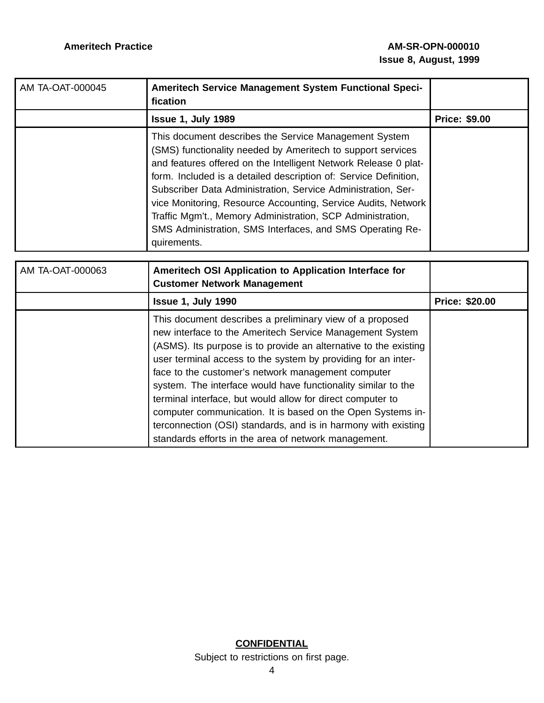| AM TA-OAT-000045 | Ameritech Service Management System Functional Speci-<br>fication                                                                                                                                                                                                                                                                                                                                                                                                                                                                      |                      |
|------------------|----------------------------------------------------------------------------------------------------------------------------------------------------------------------------------------------------------------------------------------------------------------------------------------------------------------------------------------------------------------------------------------------------------------------------------------------------------------------------------------------------------------------------------------|----------------------|
|                  | Issue 1, July 1989                                                                                                                                                                                                                                                                                                                                                                                                                                                                                                                     | <b>Price: \$9.00</b> |
|                  | This document describes the Service Management System<br>(SMS) functionality needed by Ameritech to support services<br>and features offered on the Intelligent Network Release 0 plat-<br>form. Included is a detailed description of: Service Definition,<br>Subscriber Data Administration, Service Administration, Ser-<br>vice Monitoring, Resource Accounting, Service Audits, Network<br>Traffic Mgm't., Memory Administration, SCP Administration,<br>SMS Administration, SMS Interfaces, and SMS Operating Re-<br>quirements. |                      |

| AM TA-OAT-000063 | Ameritech OSI Application to Application Interface for<br><b>Customer Network Management</b>                                                                                                                                                                                                                                                                                                                                                                                                                                                                                                                                            |                       |
|------------------|-----------------------------------------------------------------------------------------------------------------------------------------------------------------------------------------------------------------------------------------------------------------------------------------------------------------------------------------------------------------------------------------------------------------------------------------------------------------------------------------------------------------------------------------------------------------------------------------------------------------------------------------|-----------------------|
|                  | Issue 1, July 1990                                                                                                                                                                                                                                                                                                                                                                                                                                                                                                                                                                                                                      | <b>Price: \$20.00</b> |
|                  | This document describes a preliminary view of a proposed<br>new interface to the Ameritech Service Management System<br>(ASMS). Its purpose is to provide an alternative to the existing<br>user terminal access to the system by providing for an inter-<br>face to the customer's network management computer<br>system. The interface would have functionality similar to the<br>terminal interface, but would allow for direct computer to<br>computer communication. It is based on the Open Systems in-<br>terconnection (OSI) standards, and is in harmony with existing<br>standards efforts in the area of network management. |                       |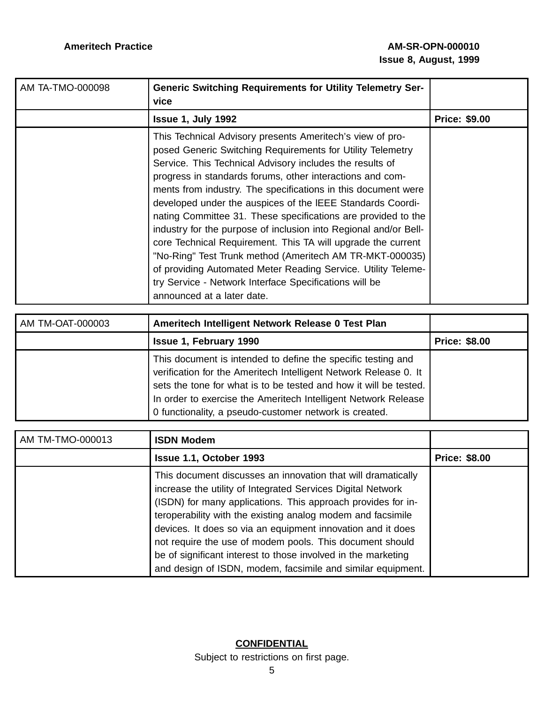| AM TA-TMO-000098 | <b>Generic Switching Requirements for Utility Telemetry Ser-</b><br>vice                                                                                                                                                                                                                                                                                                                                                                                                                                                                                                                                                                                                                                                                                                                                  |                      |
|------------------|-----------------------------------------------------------------------------------------------------------------------------------------------------------------------------------------------------------------------------------------------------------------------------------------------------------------------------------------------------------------------------------------------------------------------------------------------------------------------------------------------------------------------------------------------------------------------------------------------------------------------------------------------------------------------------------------------------------------------------------------------------------------------------------------------------------|----------------------|
|                  | <b>Issue 1, July 1992</b>                                                                                                                                                                                                                                                                                                                                                                                                                                                                                                                                                                                                                                                                                                                                                                                 | <b>Price: \$9.00</b> |
|                  | This Technical Advisory presents Ameritech's view of pro-<br>posed Generic Switching Requirements for Utility Telemetry<br>Service. This Technical Advisory includes the results of<br>progress in standards forums, other interactions and com-<br>ments from industry. The specifications in this document were<br>developed under the auspices of the IEEE Standards Coordi-<br>nating Committee 31. These specifications are provided to the<br>industry for the purpose of inclusion into Regional and/or Bell-<br>core Technical Requirement. This TA will upgrade the current<br>"No-Ring" Test Trunk method (Ameritech AM TR-MKT-000035)<br>of providing Automated Meter Reading Service. Utility Teleme-<br>try Service - Network Interface Specifications will be<br>announced at a later date. |                      |

| AM TM-OAT-000003 | Ameritech Intelligent Network Release 0 Test Plan                                                                                                                                                                                                                                                                                 |                      |
|------------------|-----------------------------------------------------------------------------------------------------------------------------------------------------------------------------------------------------------------------------------------------------------------------------------------------------------------------------------|----------------------|
|                  | <b>Issue 1, February 1990</b>                                                                                                                                                                                                                                                                                                     | <b>Price: \$8.00</b> |
|                  | This document is intended to define the specific testing and<br>verification for the Ameritech Intelligent Network Release 0. It<br>sets the tone for what is to be tested and how it will be tested.<br>In order to exercise the Ameritech Intelligent Network Release<br>0 functionality, a pseudo-customer network is created. |                      |

| AM TM-TMO-000013 | <b>ISDN Modem</b>                                                                                                                                                                                                                                                                                                                                                                                                                                                                                                     |                      |
|------------------|-----------------------------------------------------------------------------------------------------------------------------------------------------------------------------------------------------------------------------------------------------------------------------------------------------------------------------------------------------------------------------------------------------------------------------------------------------------------------------------------------------------------------|----------------------|
|                  | Issue 1.1, October 1993                                                                                                                                                                                                                                                                                                                                                                                                                                                                                               | <b>Price: \$8.00</b> |
|                  | This document discusses an innovation that will dramatically<br>increase the utility of Integrated Services Digital Network<br>(ISDN) for many applications. This approach provides for in-<br>teroperability with the existing analog modem and facsimile<br>devices. It does so via an equipment innovation and it does<br>not require the use of modem pools. This document should<br>be of significant interest to those involved in the marketing<br>and design of ISDN, modem, facsimile and similar equipment. |                      |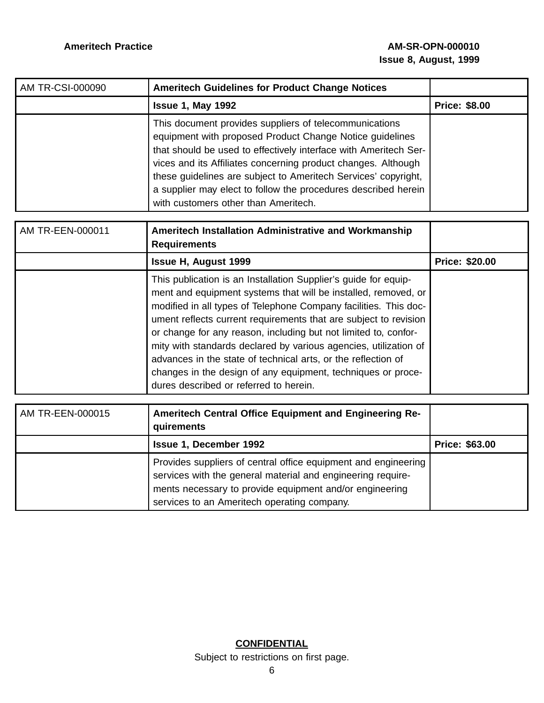| AM TR-CSI-000090 | <b>Ameritech Guidelines for Product Change Notices</b>                                                                                                                                                                                                                                                                                                                                                                              |                      |
|------------------|-------------------------------------------------------------------------------------------------------------------------------------------------------------------------------------------------------------------------------------------------------------------------------------------------------------------------------------------------------------------------------------------------------------------------------------|----------------------|
|                  | <b>Issue 1, May 1992</b>                                                                                                                                                                                                                                                                                                                                                                                                            | <b>Price: \$8.00</b> |
|                  | This document provides suppliers of telecommunications<br>equipment with proposed Product Change Notice guidelines<br>that should be used to effectively interface with Ameritech Ser-<br>vices and its Affiliates concerning product changes. Although<br>these guidelines are subject to Ameritech Services' copyright,<br>a supplier may elect to follow the procedures described herein<br>with customers other than Ameritech. |                      |

| AM TR-EEN-000011 | Ameritech Installation Administrative and Workmanship<br><b>Requirements</b>                                                                                                                                                                                                                                                                                                                                                                                                                                                                                                                |                       |
|------------------|---------------------------------------------------------------------------------------------------------------------------------------------------------------------------------------------------------------------------------------------------------------------------------------------------------------------------------------------------------------------------------------------------------------------------------------------------------------------------------------------------------------------------------------------------------------------------------------------|-----------------------|
|                  | <b>Issue H, August 1999</b>                                                                                                                                                                                                                                                                                                                                                                                                                                                                                                                                                                 | <b>Price: \$20.00</b> |
|                  | This publication is an Installation Supplier's guide for equip-<br>ment and equipment systems that will be installed, removed, or<br>modified in all types of Telephone Company facilities. This doc-<br>ument reflects current requirements that are subject to revision<br>or change for any reason, including but not limited to, confor-<br>mity with standards declared by various agencies, utilization of<br>advances in the state of technical arts, or the reflection of<br>changes in the design of any equipment, techniques or proce-<br>dures described or referred to herein. |                       |

| AM TR-EEN-000015 | Ameritech Central Office Equipment and Engineering Re-<br>quirements                                                                                                                                                                    |                       |
|------------------|-----------------------------------------------------------------------------------------------------------------------------------------------------------------------------------------------------------------------------------------|-----------------------|
|                  | <b>Issue 1, December 1992</b>                                                                                                                                                                                                           | <b>Price: \$63.00</b> |
|                  | Provides suppliers of central office equipment and engineering<br>services with the general material and engineering require-<br>ments necessary to provide equipment and/or engineering<br>services to an Ameritech operating company. |                       |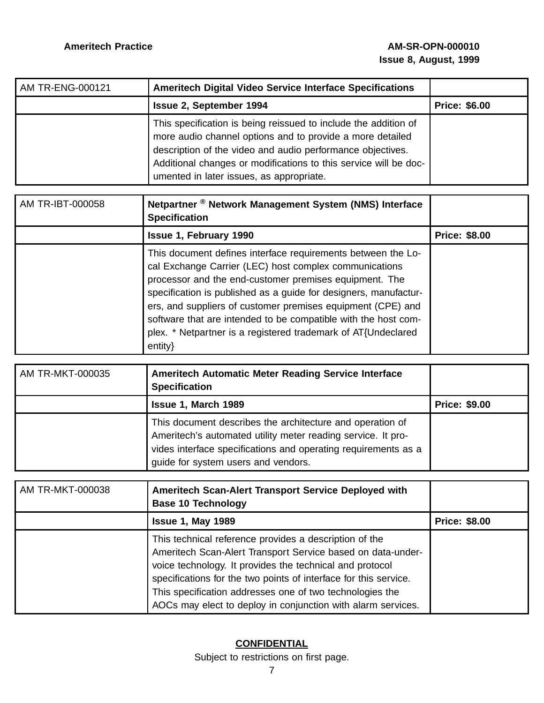| AM TR-ENG-000121 | <b>Ameritech Digital Video Service Interface Specifications</b>                                                                                                                                                                                                                                            |                      |
|------------------|------------------------------------------------------------------------------------------------------------------------------------------------------------------------------------------------------------------------------------------------------------------------------------------------------------|----------------------|
|                  | <b>Issue 2, September 1994</b>                                                                                                                                                                                                                                                                             | <b>Price: \$6.00</b> |
|                  | This specification is being reissued to include the addition of<br>more audio channel options and to provide a more detailed<br>description of the video and audio performance objectives.<br>Additional changes or modifications to this service will be doc-<br>umented in later issues, as appropriate. |                      |

| AM TR-IBT-000058 | Netpartner <sup>®</sup> Network Management System (NMS) Interface<br><b>Specification</b>                                                                                                                                                                                                                                                                                                                                                                            |                      |
|------------------|----------------------------------------------------------------------------------------------------------------------------------------------------------------------------------------------------------------------------------------------------------------------------------------------------------------------------------------------------------------------------------------------------------------------------------------------------------------------|----------------------|
|                  | <b>Issue 1, February 1990</b>                                                                                                                                                                                                                                                                                                                                                                                                                                        | <b>Price: \$8.00</b> |
|                  | This document defines interface requirements between the Lo-<br>cal Exchange Carrier (LEC) host complex communications<br>processor and the end-customer premises equipment. The<br>specification is published as a guide for designers, manufactur-<br>ers, and suppliers of customer premises equipment (CPE) and<br>software that are intended to be compatible with the host com-<br>plex. * Netpartner is a registered trademark of AT{Undeclared<br>$entity\}$ |                      |

| AM TR-MKT-000035 | <b>Ameritech Automatic Meter Reading Service Interface</b><br><b>Specification</b>                                                                                                                                                 |                      |
|------------------|------------------------------------------------------------------------------------------------------------------------------------------------------------------------------------------------------------------------------------|----------------------|
|                  | Issue 1, March 1989                                                                                                                                                                                                                | <b>Price: \$9.00</b> |
|                  | This document describes the architecture and operation of<br>Ameritech's automated utility meter reading service. It pro-<br>vides interface specifications and operating requirements as a<br>guide for system users and vendors. |                      |

| AM TR-MKT-000038 | Ameritech Scan-Alert Transport Service Deployed with<br><b>Base 10 Technology</b>                                                                                                                                                                                                                                                                                                 |                      |
|------------------|-----------------------------------------------------------------------------------------------------------------------------------------------------------------------------------------------------------------------------------------------------------------------------------------------------------------------------------------------------------------------------------|----------------------|
|                  | <b>Issue 1, May 1989</b>                                                                                                                                                                                                                                                                                                                                                          | <b>Price: \$8.00</b> |
|                  | This technical reference provides a description of the<br>Ameritech Scan-Alert Transport Service based on data-under-<br>voice technology. It provides the technical and protocol<br>specifications for the two points of interface for this service.<br>This specification addresses one of two technologies the<br>AOCs may elect to deploy in conjunction with alarm services. |                      |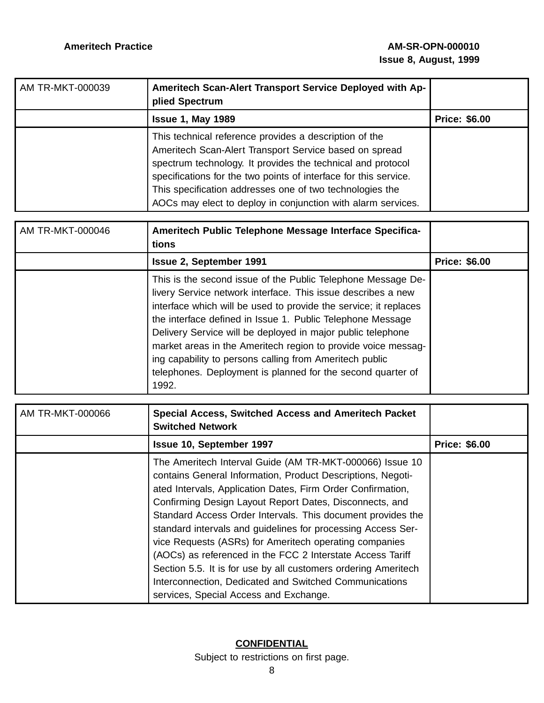| AM TR-MKT-000039 | Ameritech Scan-Alert Transport Service Deployed with Ap-<br>plied Spectrum                                                                                                                                                                                                                                                                                                      |                      |
|------------------|---------------------------------------------------------------------------------------------------------------------------------------------------------------------------------------------------------------------------------------------------------------------------------------------------------------------------------------------------------------------------------|----------------------|
|                  | <b>Issue 1, May 1989</b>                                                                                                                                                                                                                                                                                                                                                        | <b>Price: \$6.00</b> |
|                  | This technical reference provides a description of the<br>Ameritech Scan-Alert Transport Service based on spread<br>spectrum technology. It provides the technical and protocol<br>specifications for the two points of interface for this service.<br>This specification addresses one of two technologies the<br>AOCs may elect to deploy in conjunction with alarm services. |                      |

| AM TR-MKT-000046 | Ameritech Public Telephone Message Interface Specifica-<br>tions                                                                                                                                                                                                                                                                                                                                                                                                                                                                  |                      |
|------------------|-----------------------------------------------------------------------------------------------------------------------------------------------------------------------------------------------------------------------------------------------------------------------------------------------------------------------------------------------------------------------------------------------------------------------------------------------------------------------------------------------------------------------------------|----------------------|
|                  | <b>Issue 2, September 1991</b>                                                                                                                                                                                                                                                                                                                                                                                                                                                                                                    | <b>Price: \$6.00</b> |
|                  | This is the second issue of the Public Telephone Message De-<br>livery Service network interface. This issue describes a new<br>interface which will be used to provide the service; it replaces<br>the interface defined in Issue 1. Public Telephone Message<br>Delivery Service will be deployed in major public telephone<br>market areas in the Ameritech region to provide voice messag-<br>ing capability to persons calling from Ameritech public<br>telephones. Deployment is planned for the second quarter of<br>1992. |                      |

| AM TR-MKT-000066 | <b>Special Access, Switched Access and Ameritech Packet</b><br><b>Switched Network</b>                                                                                                                                                                                                                                                                                                                                                                                                                                                                                                                                                                                         |                      |
|------------------|--------------------------------------------------------------------------------------------------------------------------------------------------------------------------------------------------------------------------------------------------------------------------------------------------------------------------------------------------------------------------------------------------------------------------------------------------------------------------------------------------------------------------------------------------------------------------------------------------------------------------------------------------------------------------------|----------------------|
|                  | <b>Issue 10, September 1997</b>                                                                                                                                                                                                                                                                                                                                                                                                                                                                                                                                                                                                                                                | <b>Price: \$6.00</b> |
|                  | The Ameritech Interval Guide (AM TR-MKT-000066) Issue 10<br>contains General Information, Product Descriptions, Negoti-<br>ated Intervals, Application Dates, Firm Order Confirmation,<br>Confirming Design Layout Report Dates, Disconnects, and<br>Standard Access Order Intervals. This document provides the<br>standard intervals and guidelines for processing Access Ser-<br>vice Requests (ASRs) for Ameritech operating companies<br>(AOCs) as referenced in the FCC 2 Interstate Access Tariff<br>Section 5.5. It is for use by all customers ordering Ameritech<br>Interconnection, Dedicated and Switched Communications<br>services, Special Access and Exchange. |                      |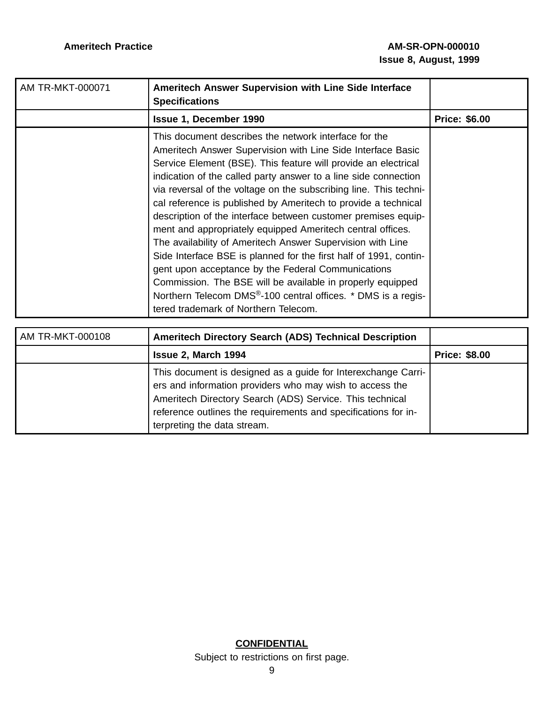| AM TR-MKT-000071 | <b>Ameritech Answer Supervision with Line Side Interface</b><br><b>Specifications</b>                                                                                                                                                                                                                                                                                                                                                                                                                                                                                                                                                                                                                                                                                                                                                                                                                       |                      |
|------------------|-------------------------------------------------------------------------------------------------------------------------------------------------------------------------------------------------------------------------------------------------------------------------------------------------------------------------------------------------------------------------------------------------------------------------------------------------------------------------------------------------------------------------------------------------------------------------------------------------------------------------------------------------------------------------------------------------------------------------------------------------------------------------------------------------------------------------------------------------------------------------------------------------------------|----------------------|
|                  | Issue 1, December 1990                                                                                                                                                                                                                                                                                                                                                                                                                                                                                                                                                                                                                                                                                                                                                                                                                                                                                      | <b>Price: \$6.00</b> |
|                  | This document describes the network interface for the<br>Ameritech Answer Supervision with Line Side Interface Basic<br>Service Element (BSE). This feature will provide an electrical<br>indication of the called party answer to a line side connection<br>via reversal of the voltage on the subscribing line. This techni-<br>cal reference is published by Ameritech to provide a technical<br>description of the interface between customer premises equip-<br>ment and appropriately equipped Ameritech central offices.<br>The availability of Ameritech Answer Supervision with Line<br>Side Interface BSE is planned for the first half of 1991, contin-<br>gent upon acceptance by the Federal Communications<br>Commission. The BSE will be available in properly equipped<br>Northern Telecom DMS <sup>®</sup> -100 central offices. * DMS is a regis-<br>tered trademark of Northern Telecom. |                      |

| AM TR-MKT-000108 | Ameritech Directory Search (ADS) Technical Description                                                                                                                                                                                                                                 |                      |
|------------------|----------------------------------------------------------------------------------------------------------------------------------------------------------------------------------------------------------------------------------------------------------------------------------------|----------------------|
|                  | <b>Issue 2, March 1994</b>                                                                                                                                                                                                                                                             | <b>Price: \$8.00</b> |
|                  | This document is designed as a guide for Interexchange Carri-<br>ers and information providers who may wish to access the<br>Ameritech Directory Search (ADS) Service. This technical<br>reference outlines the requirements and specifications for in-<br>terpreting the data stream. |                      |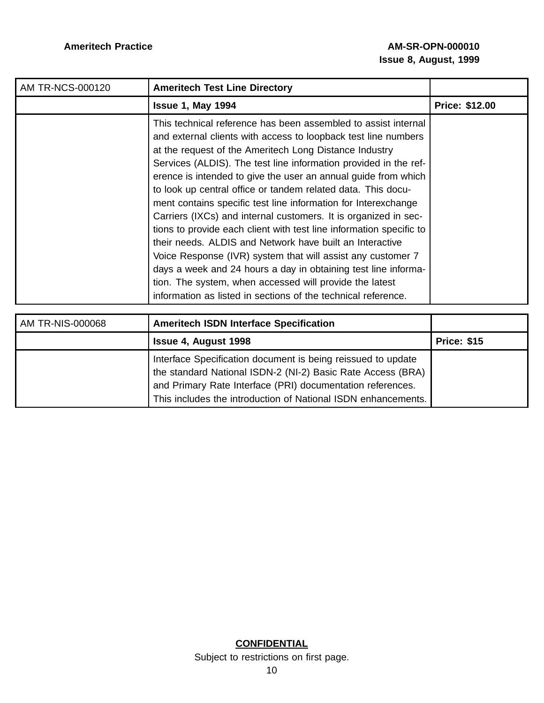| <b>AM TR-NCS-000120</b> | <b>Ameritech Test Line Directory</b>                                                                                                                                                                                                                                                                                                                                                                                                                                                                                                                                                                                                                                                                                                                                                                                                                                                                                                  |                       |
|-------------------------|---------------------------------------------------------------------------------------------------------------------------------------------------------------------------------------------------------------------------------------------------------------------------------------------------------------------------------------------------------------------------------------------------------------------------------------------------------------------------------------------------------------------------------------------------------------------------------------------------------------------------------------------------------------------------------------------------------------------------------------------------------------------------------------------------------------------------------------------------------------------------------------------------------------------------------------|-----------------------|
|                         | <b>Issue 1, May 1994</b>                                                                                                                                                                                                                                                                                                                                                                                                                                                                                                                                                                                                                                                                                                                                                                                                                                                                                                              | <b>Price: \$12.00</b> |
|                         | This technical reference has been assembled to assist internal<br>and external clients with access to loopback test line numbers<br>at the request of the Ameritech Long Distance Industry<br>Services (ALDIS). The test line information provided in the ref-<br>erence is intended to give the user an annual guide from which<br>to look up central office or tandem related data. This docu-<br>ment contains specific test line information for Interexchange<br>Carriers (IXCs) and internal customers. It is organized in sec-<br>tions to provide each client with test line information specific to<br>their needs. ALDIS and Network have built an Interactive<br>Voice Response (IVR) system that will assist any customer 7<br>days a week and 24 hours a day in obtaining test line informa-<br>tion. The system, when accessed will provide the latest<br>information as listed in sections of the technical reference. |                       |

| AM TR-NIS-000068 | <b>Ameritech ISDN Interface Specification</b>                                                                                                                                                                                                              |                    |
|------------------|------------------------------------------------------------------------------------------------------------------------------------------------------------------------------------------------------------------------------------------------------------|--------------------|
|                  | <b>Issue 4, August 1998</b>                                                                                                                                                                                                                                | <b>Price: \$15</b> |
|                  | Interface Specification document is being reissued to update<br>the standard National ISDN-2 (NI-2) Basic Rate Access (BRA)<br>and Primary Rate Interface (PRI) documentation references.<br>This includes the introduction of National ISDN enhancements. |                    |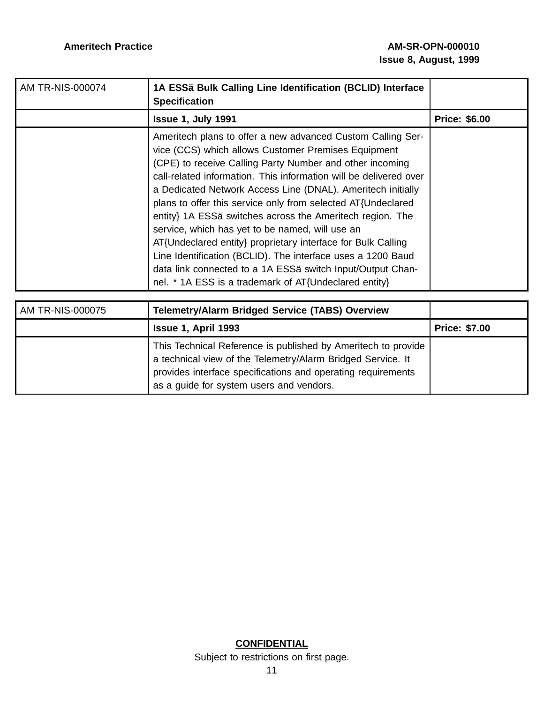| AM TR-NIS-000074 | 1A ESSä Bulk Calling Line Identification (BCLID) Interface<br><b>Specification</b>                                                                                                                                                                                                                                                                                                                                                                                                                                                                                                                                                                                                                                                                       |                      |
|------------------|----------------------------------------------------------------------------------------------------------------------------------------------------------------------------------------------------------------------------------------------------------------------------------------------------------------------------------------------------------------------------------------------------------------------------------------------------------------------------------------------------------------------------------------------------------------------------------------------------------------------------------------------------------------------------------------------------------------------------------------------------------|----------------------|
|                  | <b>Issue 1, July 1991</b>                                                                                                                                                                                                                                                                                                                                                                                                                                                                                                                                                                                                                                                                                                                                | <b>Price: \$6.00</b> |
|                  | Ameritech plans to offer a new advanced Custom Calling Ser-<br>vice (CCS) which allows Customer Premises Equipment<br>(CPE) to receive Calling Party Number and other incoming<br>call-related information. This information will be delivered over<br>a Dedicated Network Access Line (DNAL). Ameritech initially<br>plans to offer this service only from selected AT{Undeclared<br>entity} 1A ESSä switches across the Ameritech region. The<br>service, which has yet to be named, will use an<br>AT{Undeclared entity} proprietary interface for Bulk Calling<br>Line Identification (BCLID). The interface uses a 1200 Baud<br>data link connected to a 1A ESSä switch Input/Output Chan-<br>nel. * 1A ESS is a trademark of AT{Undeclared entity} |                      |

| AM TR-NIS-000075 | <b>Telemetry/Alarm Bridged Service (TABS) Overview</b>                                                                                                                                                                                   |                      |
|------------------|------------------------------------------------------------------------------------------------------------------------------------------------------------------------------------------------------------------------------------------|----------------------|
|                  | Issue 1, April 1993                                                                                                                                                                                                                      | <b>Price: \$7.00</b> |
|                  | This Technical Reference is published by Ameritech to provide<br>a technical view of the Telemetry/Alarm Bridged Service. It<br>provides interface specifications and operating requirements<br>as a guide for system users and vendors. |                      |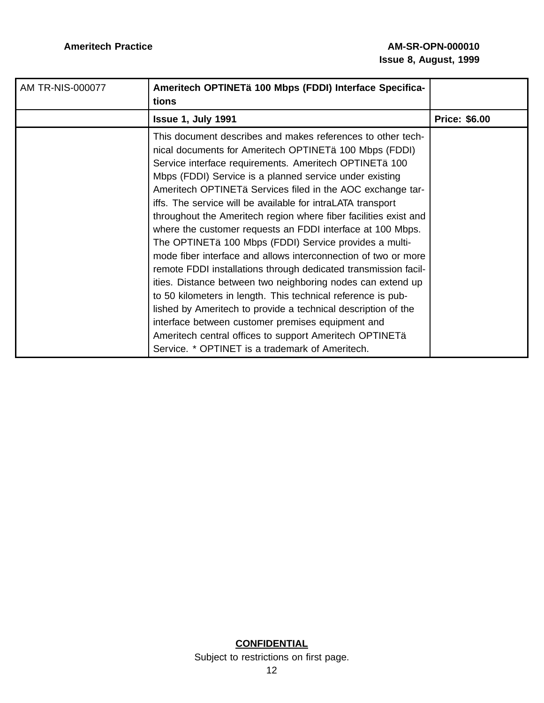| AM TR-NIS-000077 | Ameritech OPTINETä 100 Mbps (FDDI) Interface Specifica-<br>tions                                                                                                                                                                                                                                                                                                                                                                                                                                                                                                                                                                                                                                                                                                                                                                                                                                                                                                                                                                                                            |                      |
|------------------|-----------------------------------------------------------------------------------------------------------------------------------------------------------------------------------------------------------------------------------------------------------------------------------------------------------------------------------------------------------------------------------------------------------------------------------------------------------------------------------------------------------------------------------------------------------------------------------------------------------------------------------------------------------------------------------------------------------------------------------------------------------------------------------------------------------------------------------------------------------------------------------------------------------------------------------------------------------------------------------------------------------------------------------------------------------------------------|----------------------|
|                  | <b>Issue 1, July 1991</b>                                                                                                                                                                                                                                                                                                                                                                                                                                                                                                                                                                                                                                                                                                                                                                                                                                                                                                                                                                                                                                                   | <b>Price: \$6.00</b> |
|                  | This document describes and makes references to other tech-<br>nical documents for Ameritech OPTINETä 100 Mbps (FDDI)<br>Service interface requirements. Ameritech OPTINETä 100<br>Mbps (FDDI) Service is a planned service under existing<br>Ameritech OPTINETä Services filed in the AOC exchange tar-<br>iffs. The service will be available for intraLATA transport<br>throughout the Ameritech region where fiber facilities exist and<br>where the customer requests an FDDI interface at 100 Mbps.<br>The OPTINETä 100 Mbps (FDDI) Service provides a multi-<br>mode fiber interface and allows interconnection of two or more<br>remote FDDI installations through dedicated transmission facil-<br>ities. Distance between two neighboring nodes can extend up<br>to 50 kilometers in length. This technical reference is pub-<br>lished by Ameritech to provide a technical description of the<br>interface between customer premises equipment and<br>Ameritech central offices to support Ameritech OPTINETä<br>Service. * OPTINET is a trademark of Ameritech. |                      |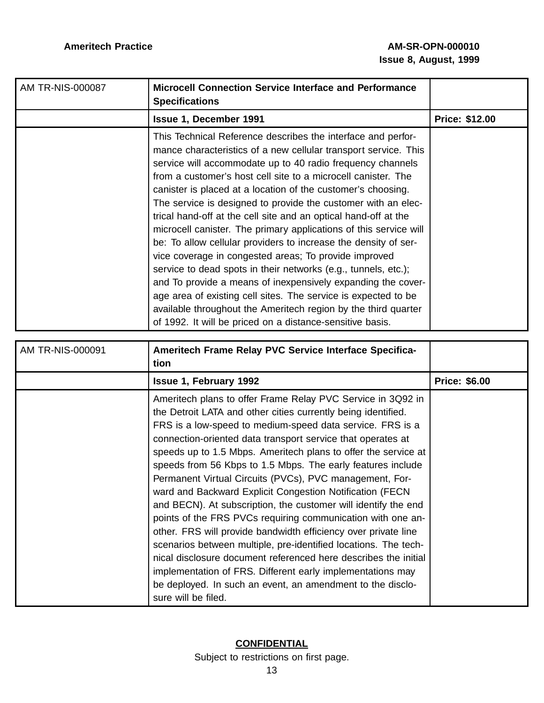| <b>AM TR-NIS-000087</b> | <b>Microcell Connection Service Interface and Performance</b><br><b>Specifications</b>                                                                                                                                                                                                                                                                                                                                                                                                                                                                                                                                                                                                                                                                                                                                                                                                                                                                                                                 |                       |
|-------------------------|--------------------------------------------------------------------------------------------------------------------------------------------------------------------------------------------------------------------------------------------------------------------------------------------------------------------------------------------------------------------------------------------------------------------------------------------------------------------------------------------------------------------------------------------------------------------------------------------------------------------------------------------------------------------------------------------------------------------------------------------------------------------------------------------------------------------------------------------------------------------------------------------------------------------------------------------------------------------------------------------------------|-----------------------|
|                         | Issue 1, December 1991                                                                                                                                                                                                                                                                                                                                                                                                                                                                                                                                                                                                                                                                                                                                                                                                                                                                                                                                                                                 | <b>Price: \$12.00</b> |
|                         | This Technical Reference describes the interface and perfor-<br>mance characteristics of a new cellular transport service. This<br>service will accommodate up to 40 radio frequency channels<br>from a customer's host cell site to a microcell canister. The<br>canister is placed at a location of the customer's choosing.<br>The service is designed to provide the customer with an elec-<br>trical hand-off at the cell site and an optical hand-off at the<br>microcell canister. The primary applications of this service will<br>be: To allow cellular providers to increase the density of ser-<br>vice coverage in congested areas; To provide improved<br>service to dead spots in their networks (e.g., tunnels, etc.);<br>and To provide a means of inexpensively expanding the cover-<br>age area of existing cell sites. The service is expected to be<br>available throughout the Ameritech region by the third quarter<br>of 1992. It will be priced on a distance-sensitive basis. |                       |

| AM TR-NIS-000091 | Ameritech Frame Relay PVC Service Interface Specifica-<br>tion                                                                                                                                                                                                                                                                                                                                                                                                                                                                                                                                                                                                                                                                                                                                                                                                                                                                                                                                                |                      |
|------------------|---------------------------------------------------------------------------------------------------------------------------------------------------------------------------------------------------------------------------------------------------------------------------------------------------------------------------------------------------------------------------------------------------------------------------------------------------------------------------------------------------------------------------------------------------------------------------------------------------------------------------------------------------------------------------------------------------------------------------------------------------------------------------------------------------------------------------------------------------------------------------------------------------------------------------------------------------------------------------------------------------------------|----------------------|
|                  | <b>Issue 1, February 1992</b>                                                                                                                                                                                                                                                                                                                                                                                                                                                                                                                                                                                                                                                                                                                                                                                                                                                                                                                                                                                 | <b>Price: \$6.00</b> |
|                  | Ameritech plans to offer Frame Relay PVC Service in 3Q92 in<br>the Detroit LATA and other cities currently being identified.<br>FRS is a low-speed to medium-speed data service. FRS is a<br>connection-oriented data transport service that operates at<br>speeds up to 1.5 Mbps. Ameritech plans to offer the service at<br>speeds from 56 Kbps to 1.5 Mbps. The early features include<br>Permanent Virtual Circuits (PVCs), PVC management, For-<br>ward and Backward Explicit Congestion Notification (FECN)<br>and BECN). At subscription, the customer will identify the end<br>points of the FRS PVCs requiring communication with one an-<br>other. FRS will provide bandwidth efficiency over private line<br>scenarios between multiple, pre-identified locations. The tech-<br>nical disclosure document referenced here describes the initial<br>implementation of FRS. Different early implementations may<br>be deployed. In such an event, an amendment to the disclo-<br>sure will be filed. |                      |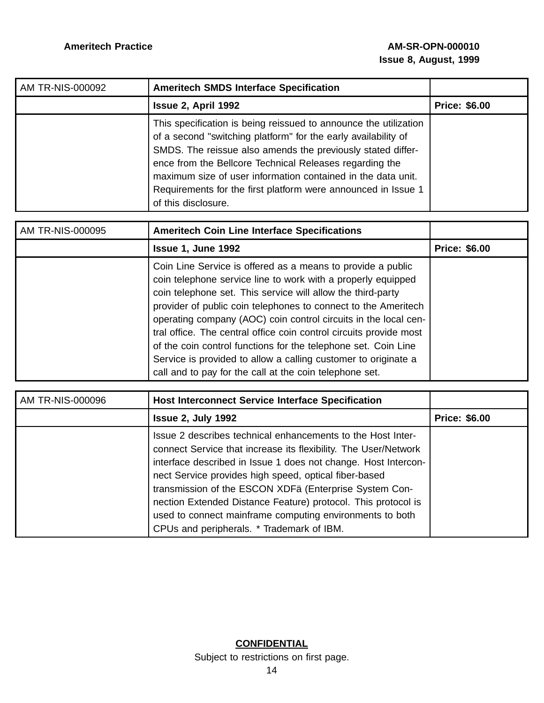| AM TR-NIS-000092 | <b>Ameritech SMDS Interface Specification</b>                                                                                                                                                                                                                                                                                                                                                                        |                      |
|------------------|----------------------------------------------------------------------------------------------------------------------------------------------------------------------------------------------------------------------------------------------------------------------------------------------------------------------------------------------------------------------------------------------------------------------|----------------------|
|                  | Issue 2, April 1992                                                                                                                                                                                                                                                                                                                                                                                                  | <b>Price: \$6.00</b> |
|                  | This specification is being reissued to announce the utilization<br>of a second "switching platform" for the early availability of<br>SMDS. The reissue also amends the previously stated differ-<br>ence from the Bellcore Technical Releases regarding the<br>maximum size of user information contained in the data unit.<br>Requirements for the first platform were announced in Issue 1<br>of this disclosure. |                      |

| AM TR-NIS-000095 | <b>Ameritech Coin Line Interface Specifications</b>                                                                                                                                                                                                                                                                                                                                                                                                                                                                                                                                                  |                      |
|------------------|------------------------------------------------------------------------------------------------------------------------------------------------------------------------------------------------------------------------------------------------------------------------------------------------------------------------------------------------------------------------------------------------------------------------------------------------------------------------------------------------------------------------------------------------------------------------------------------------------|----------------------|
|                  | <b>Issue 1, June 1992</b>                                                                                                                                                                                                                                                                                                                                                                                                                                                                                                                                                                            | <b>Price: \$6.00</b> |
|                  | Coin Line Service is offered as a means to provide a public<br>coin telephone service line to work with a properly equipped<br>coin telephone set. This service will allow the third-party<br>provider of public coin telephones to connect to the Ameritech<br>operating company (AOC) coin control circuits in the local cen-<br>tral office. The central office coin control circuits provide most<br>of the coin control functions for the telephone set. Coin Line<br>Service is provided to allow a calling customer to originate a<br>call and to pay for the call at the coin telephone set. |                      |

| AM TR-NIS-000096 | <b>Host Interconnect Service Interface Specification</b>                                                                                                                                                                                                                                                                                                                                                                                                                                      |                      |
|------------------|-----------------------------------------------------------------------------------------------------------------------------------------------------------------------------------------------------------------------------------------------------------------------------------------------------------------------------------------------------------------------------------------------------------------------------------------------------------------------------------------------|----------------------|
|                  | <b>Issue 2, July 1992</b>                                                                                                                                                                                                                                                                                                                                                                                                                                                                     | <b>Price: \$6.00</b> |
|                  | Issue 2 describes technical enhancements to the Host Inter-<br>connect Service that increase its flexibility. The User/Network<br>interface described in Issue 1 does not change. Host Intercon-<br>nect Service provides high speed, optical fiber-based<br>transmission of the ESCON XDFä (Enterprise System Con-<br>nection Extended Distance Feature) protocol. This protocol is<br>used to connect mainframe computing environments to both<br>CPUs and peripherals. * Trademark of IBM. |                      |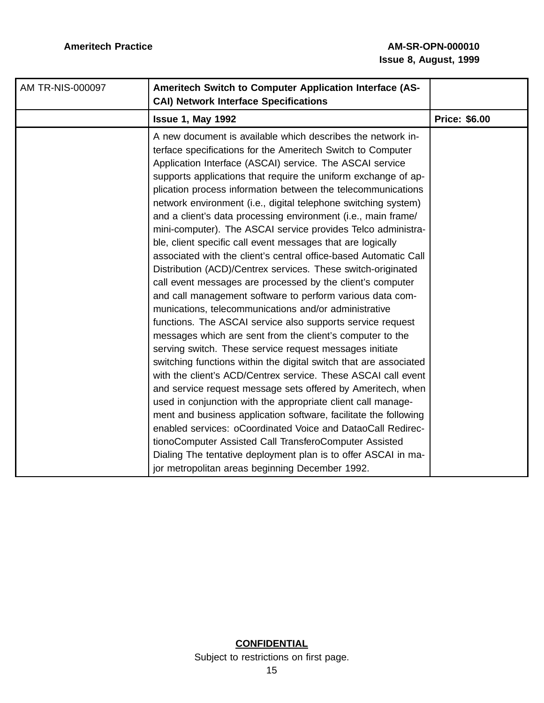| AM TR-NIS-000097 | Ameritech Switch to Computer Application Interface (AS-<br><b>CAI) Network Interface Specifications</b>                                                                                                                                                                                                                                                                                                                                                                                                                                                                                                                                                                                                                                                                                                                                                                                                                                                                                                                                                                                                                                                                                                                                                                                                                                                                                                                                                                                                                                                                                                                                                                                         |                      |
|------------------|-------------------------------------------------------------------------------------------------------------------------------------------------------------------------------------------------------------------------------------------------------------------------------------------------------------------------------------------------------------------------------------------------------------------------------------------------------------------------------------------------------------------------------------------------------------------------------------------------------------------------------------------------------------------------------------------------------------------------------------------------------------------------------------------------------------------------------------------------------------------------------------------------------------------------------------------------------------------------------------------------------------------------------------------------------------------------------------------------------------------------------------------------------------------------------------------------------------------------------------------------------------------------------------------------------------------------------------------------------------------------------------------------------------------------------------------------------------------------------------------------------------------------------------------------------------------------------------------------------------------------------------------------------------------------------------------------|----------------------|
|                  | <b>Issue 1, May 1992</b>                                                                                                                                                                                                                                                                                                                                                                                                                                                                                                                                                                                                                                                                                                                                                                                                                                                                                                                                                                                                                                                                                                                                                                                                                                                                                                                                                                                                                                                                                                                                                                                                                                                                        | <b>Price: \$6.00</b> |
|                  | A new document is available which describes the network in-<br>terface specifications for the Ameritech Switch to Computer<br>Application Interface (ASCAI) service. The ASCAI service<br>supports applications that require the uniform exchange of ap-<br>plication process information between the telecommunications<br>network environment (i.e., digital telephone switching system)<br>and a client's data processing environment (i.e., main frame/<br>mini-computer). The ASCAI service provides Telco administra-<br>ble, client specific call event messages that are logically<br>associated with the client's central office-based Automatic Call<br>Distribution (ACD)/Centrex services. These switch-originated<br>call event messages are processed by the client's computer<br>and call management software to perform various data com-<br>munications, telecommunications and/or administrative<br>functions. The ASCAI service also supports service request<br>messages which are sent from the client's computer to the<br>serving switch. These service request messages initiate<br>switching functions within the digital switch that are associated<br>with the client's ACD/Centrex service. These ASCAI call event<br>and service request message sets offered by Ameritech, when<br>used in conjunction with the appropriate client call manage-<br>ment and business application software, facilitate the following<br>enabled services: oCoordinated Voice and DataoCall Redirec-<br>tionoComputer Assisted Call TransferoComputer Assisted<br>Dialing The tentative deployment plan is to offer ASCAI in ma-<br>jor metropolitan areas beginning December 1992. |                      |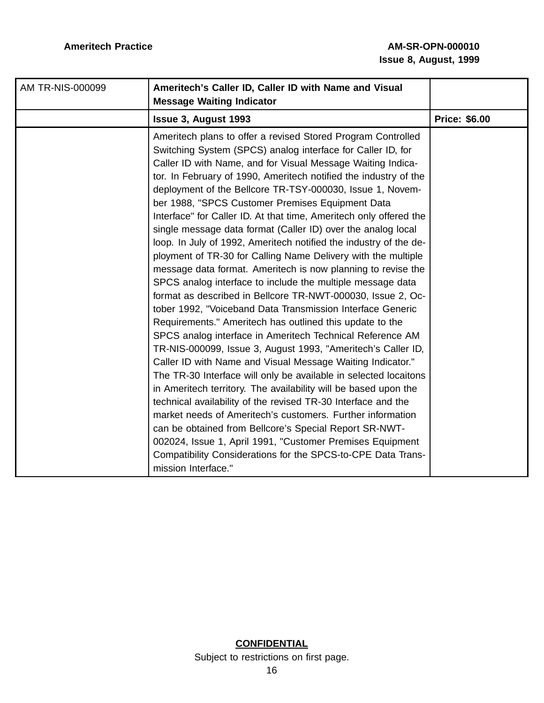| AM TR-NIS-000099 | Ameritech's Caller ID, Caller ID with Name and Visual<br><b>Message Waiting Indicator</b>                                                                                                                                                                                                                                                                                                                                                                                                                                                                                                                                                                                                                                                                                                                                                                                                                                                                                                                                                                                                                                                                                                                                                                                                                                                                                                                                                                                                                                                                                                                                                                         |                      |
|------------------|-------------------------------------------------------------------------------------------------------------------------------------------------------------------------------------------------------------------------------------------------------------------------------------------------------------------------------------------------------------------------------------------------------------------------------------------------------------------------------------------------------------------------------------------------------------------------------------------------------------------------------------------------------------------------------------------------------------------------------------------------------------------------------------------------------------------------------------------------------------------------------------------------------------------------------------------------------------------------------------------------------------------------------------------------------------------------------------------------------------------------------------------------------------------------------------------------------------------------------------------------------------------------------------------------------------------------------------------------------------------------------------------------------------------------------------------------------------------------------------------------------------------------------------------------------------------------------------------------------------------------------------------------------------------|----------------------|
|                  | <b>Issue 3, August 1993</b>                                                                                                                                                                                                                                                                                                                                                                                                                                                                                                                                                                                                                                                                                                                                                                                                                                                                                                                                                                                                                                                                                                                                                                                                                                                                                                                                                                                                                                                                                                                                                                                                                                       | <b>Price: \$6.00</b> |
|                  | Ameritech plans to offer a revised Stored Program Controlled<br>Switching System (SPCS) analog interface for Caller ID, for<br>Caller ID with Name, and for Visual Message Waiting Indica-<br>tor. In February of 1990, Ameritech notified the industry of the<br>deployment of the Bellcore TR-TSY-000030, Issue 1, Novem-<br>ber 1988, "SPCS Customer Premises Equipment Data<br>Interface" for Caller ID. At that time, Ameritech only offered the<br>single message data format (Caller ID) over the analog local<br>loop. In July of 1992, Ameritech notified the industry of the de-<br>ployment of TR-30 for Calling Name Delivery with the multiple<br>message data format. Ameritech is now planning to revise the<br>SPCS analog interface to include the multiple message data<br>format as described in Bellcore TR-NWT-000030, Issue 2, Oc-<br>tober 1992, "Voiceband Data Transmission Interface Generic<br>Requirements." Ameritech has outlined this update to the<br>SPCS analog interface in Ameritech Technical Reference AM<br>TR-NIS-000099, Issue 3, August 1993, "Ameritech's Caller ID,<br>Caller ID with Name and Visual Message Waiting Indicator."<br>The TR-30 Interface will only be available in selected locaitons<br>in Ameritech territory. The availability will be based upon the<br>technical availability of the revised TR-30 Interface and the<br>market needs of Ameritech's customers. Further information<br>can be obtained from Bellcore's Special Report SR-NWT-<br>002024, Issue 1, April 1991, "Customer Premises Equipment<br>Compatibility Considerations for the SPCS-to-CPE Data Trans-<br>mission Interface." |                      |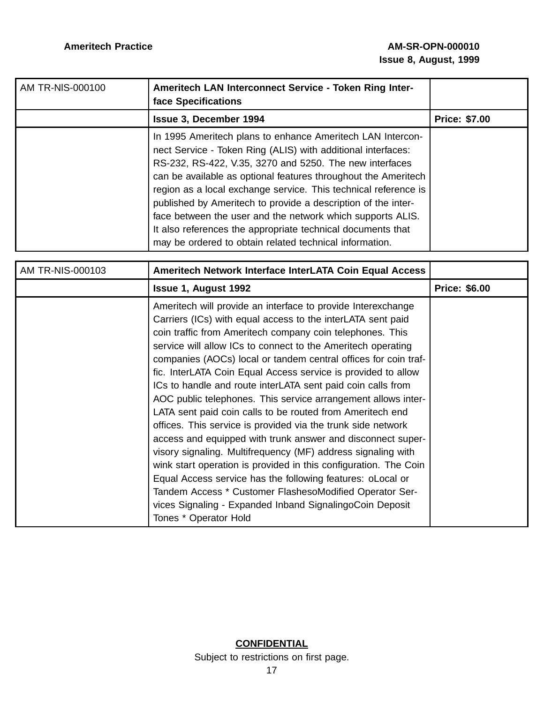| AM TR-NIS-000100 | Ameritech LAN Interconnect Service - Token Ring Inter-<br>face Specifications                                                                                                                                                                                                                                                                                                                                                                                                                                                                                                       |                      |
|------------------|-------------------------------------------------------------------------------------------------------------------------------------------------------------------------------------------------------------------------------------------------------------------------------------------------------------------------------------------------------------------------------------------------------------------------------------------------------------------------------------------------------------------------------------------------------------------------------------|----------------------|
|                  | <b>Issue 3, December 1994</b>                                                                                                                                                                                                                                                                                                                                                                                                                                                                                                                                                       | <b>Price: \$7.00</b> |
|                  | In 1995 Ameritech plans to enhance Ameritech LAN Intercon-<br>nect Service - Token Ring (ALIS) with additional interfaces:<br>RS-232, RS-422, V.35, 3270 and 5250. The new interfaces<br>can be available as optional features throughout the Ameritech<br>region as a local exchange service. This technical reference is<br>published by Ameritech to provide a description of the inter-<br>face between the user and the network which supports ALIS.<br>It also references the appropriate technical documents that<br>may be ordered to obtain related technical information. |                      |

| AM TR-NIS-000103 | Ameritech Network Interface InterLATA Coin Equal Access                                                                                                                                                                                                                                                                                                                                                                                                                                                                                                                                                                                                                                                                                                                                                                                                                                                                                                                               |                      |
|------------------|---------------------------------------------------------------------------------------------------------------------------------------------------------------------------------------------------------------------------------------------------------------------------------------------------------------------------------------------------------------------------------------------------------------------------------------------------------------------------------------------------------------------------------------------------------------------------------------------------------------------------------------------------------------------------------------------------------------------------------------------------------------------------------------------------------------------------------------------------------------------------------------------------------------------------------------------------------------------------------------|----------------------|
|                  | <b>Issue 1, August 1992</b>                                                                                                                                                                                                                                                                                                                                                                                                                                                                                                                                                                                                                                                                                                                                                                                                                                                                                                                                                           | <b>Price: \$6.00</b> |
|                  | Ameritech will provide an interface to provide Interexchange<br>Carriers (ICs) with equal access to the interLATA sent paid<br>coin traffic from Ameritech company coin telephones. This<br>service will allow ICs to connect to the Ameritech operating<br>companies (AOCs) local or tandem central offices for coin traf-<br>fic. InterLATA Coin Equal Access service is provided to allow<br>ICs to handle and route interLATA sent paid coin calls from<br>AOC public telephones. This service arrangement allows inter-<br>LATA sent paid coin calls to be routed from Ameritech end<br>offices. This service is provided via the trunk side network<br>access and equipped with trunk answer and disconnect super-<br>visory signaling. Multifrequency (MF) address signaling with<br>wink start operation is provided in this configuration. The Coin<br>Equal Access service has the following features: oLocal or<br>Tandem Access * Customer FlashesoModified Operator Ser- |                      |
|                  | vices Signaling - Expanded Inband SignalingoCoin Deposit<br>Tones * Operator Hold                                                                                                                                                                                                                                                                                                                                                                                                                                                                                                                                                                                                                                                                                                                                                                                                                                                                                                     |                      |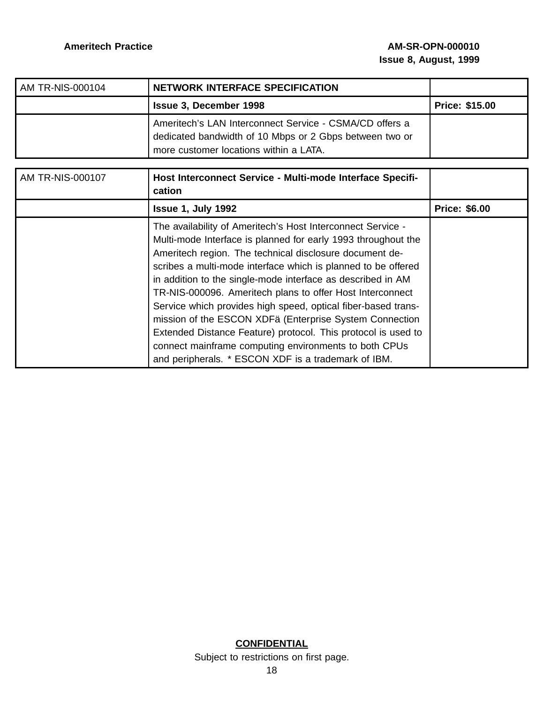| AM TR-NIS-000104 | <b>NETWORK INTERFACE SPECIFICATION</b>                                                                                                                       |                       |
|------------------|--------------------------------------------------------------------------------------------------------------------------------------------------------------|-----------------------|
|                  | <b>Issue 3, December 1998</b>                                                                                                                                | <b>Price: \$15.00</b> |
|                  | Ameritech's LAN Interconnect Service - CSMA/CD offers a<br>dedicated bandwidth of 10 Mbps or 2 Gbps between two or<br>more customer locations within a LATA. |                       |

| <b>AM TR-NIS-000107</b> | Host Interconnect Service - Multi-mode Interface Specifi-<br>cation                                                                                                                                                                                                                                                                                                                                                                                                                                                                                                                                                                                                                               |                      |
|-------------------------|---------------------------------------------------------------------------------------------------------------------------------------------------------------------------------------------------------------------------------------------------------------------------------------------------------------------------------------------------------------------------------------------------------------------------------------------------------------------------------------------------------------------------------------------------------------------------------------------------------------------------------------------------------------------------------------------------|----------------------|
|                         | <b>Issue 1, July 1992</b>                                                                                                                                                                                                                                                                                                                                                                                                                                                                                                                                                                                                                                                                         | <b>Price: \$6.00</b> |
|                         | The availability of Ameritech's Host Interconnect Service -<br>Multi-mode Interface is planned for early 1993 throughout the<br>Ameritech region. The technical disclosure document de-<br>scribes a multi-mode interface which is planned to be offered<br>in addition to the single-mode interface as described in AM<br>TR-NIS-000096. Ameritech plans to offer Host Interconnect<br>Service which provides high speed, optical fiber-based trans-<br>mission of the ESCON XDFä (Enterprise System Connection<br>Extended Distance Feature) protocol. This protocol is used to<br>connect mainframe computing environments to both CPUs<br>and peripherals. * ESCON XDF is a trademark of IBM. |                      |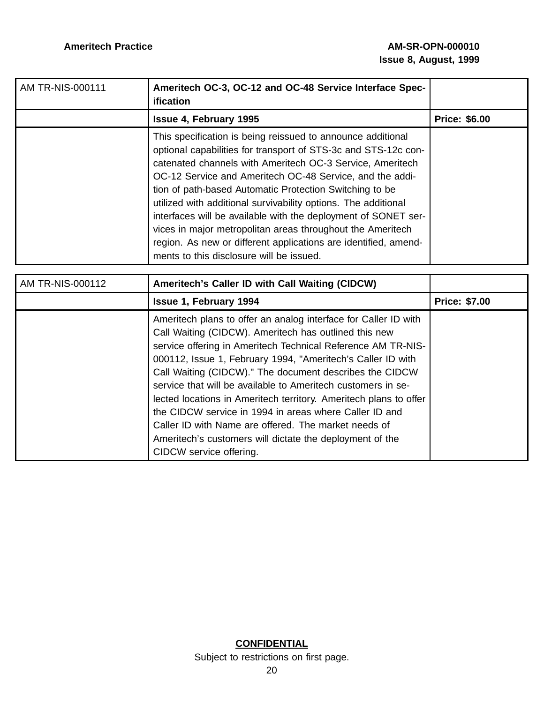| AM TR-NIS-000111 | Ameritech OC-3, OC-12 and OC-48 Service Interface Spec-<br><b>ification</b>                                                                                                                                                                                                                                                                                                                                                                                                                                                                                                                                                        |                      |
|------------------|------------------------------------------------------------------------------------------------------------------------------------------------------------------------------------------------------------------------------------------------------------------------------------------------------------------------------------------------------------------------------------------------------------------------------------------------------------------------------------------------------------------------------------------------------------------------------------------------------------------------------------|----------------------|
|                  | <b>Issue 4, February 1995</b>                                                                                                                                                                                                                                                                                                                                                                                                                                                                                                                                                                                                      | <b>Price: \$6.00</b> |
|                  | This specification is being reissued to announce additional<br>optional capabilities for transport of STS-3c and STS-12c con-<br>catenated channels with Ameritech OC-3 Service, Ameritech<br>OC-12 Service and Ameritech OC-48 Service, and the addi-<br>tion of path-based Automatic Protection Switching to be<br>utilized with additional survivability options. The additional<br>interfaces will be available with the deployment of SONET ser-<br>vices in major metropolitan areas throughout the Ameritech<br>region. As new or different applications are identified, amend-<br>ments to this disclosure will be issued. |                      |

| AM TR-NIS-000112 | Ameritech's Caller ID with Call Waiting (CIDCW)                                                                                                                                                                                                                                                                                                                                                                                                                                                                                                                                                                                                                  |                      |
|------------------|------------------------------------------------------------------------------------------------------------------------------------------------------------------------------------------------------------------------------------------------------------------------------------------------------------------------------------------------------------------------------------------------------------------------------------------------------------------------------------------------------------------------------------------------------------------------------------------------------------------------------------------------------------------|----------------------|
|                  | <b>Issue 1, February 1994</b>                                                                                                                                                                                                                                                                                                                                                                                                                                                                                                                                                                                                                                    | <b>Price: \$7.00</b> |
|                  | Ameritech plans to offer an analog interface for Caller ID with<br>Call Waiting (CIDCW). Ameritech has outlined this new<br>service offering in Ameritech Technical Reference AM TR-NIS-<br>000112, Issue 1, February 1994, "Ameritech's Caller ID with<br>Call Waiting (CIDCW)." The document describes the CIDCW<br>service that will be available to Ameritech customers in se-<br>lected locations in Ameritech territory. Ameritech plans to offer<br>the CIDCW service in 1994 in areas where Caller ID and<br>Caller ID with Name are offered. The market needs of<br>Ameritech's customers will dictate the deployment of the<br>CIDCW service offering. |                      |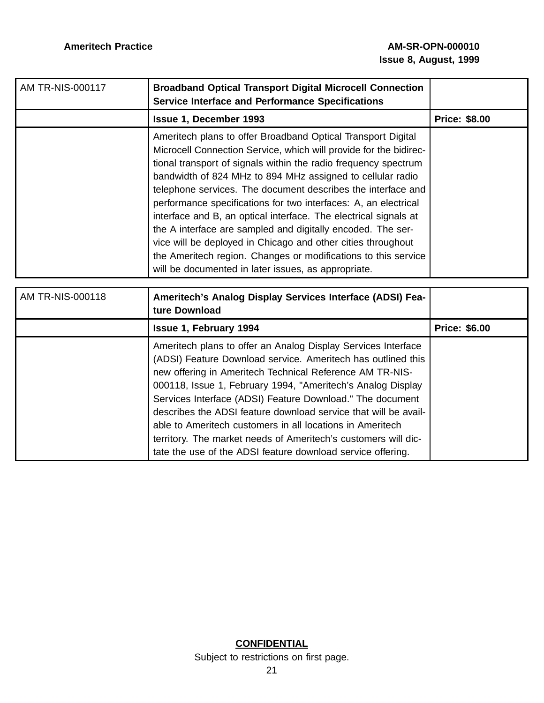| <b>AM TR-NIS-000117</b> | <b>Broadband Optical Transport Digital Microcell Connection</b><br><b>Service Interface and Performance Specifications</b>                                                                                                                                                                                                                                                                                                                                                                                                                                                                                                                                                                                                        |                      |
|-------------------------|-----------------------------------------------------------------------------------------------------------------------------------------------------------------------------------------------------------------------------------------------------------------------------------------------------------------------------------------------------------------------------------------------------------------------------------------------------------------------------------------------------------------------------------------------------------------------------------------------------------------------------------------------------------------------------------------------------------------------------------|----------------------|
|                         | <b>Issue 1, December 1993</b>                                                                                                                                                                                                                                                                                                                                                                                                                                                                                                                                                                                                                                                                                                     | <b>Price: \$8.00</b> |
|                         | Ameritech plans to offer Broadband Optical Transport Digital<br>Microcell Connection Service, which will provide for the bidirec-<br>tional transport of signals within the radio frequency spectrum<br>bandwidth of 824 MHz to 894 MHz assigned to cellular radio<br>telephone services. The document describes the interface and<br>performance specifications for two interfaces: A, an electrical<br>interface and B, an optical interface. The electrical signals at<br>the A interface are sampled and digitally encoded. The ser-<br>vice will be deployed in Chicago and other cities throughout<br>the Ameritech region. Changes or modifications to this service<br>will be documented in later issues, as appropriate. |                      |
|                         |                                                                                                                                                                                                                                                                                                                                                                                                                                                                                                                                                                                                                                                                                                                                   |                      |
| AM TR-NIS-000118        | Ameritech's Analog Display Services Interface (ADSI) Fea-<br>ture Download                                                                                                                                                                                                                                                                                                                                                                                                                                                                                                                                                                                                                                                        |                      |
|                         | <b>Issue 1, February 1994</b>                                                                                                                                                                                                                                                                                                                                                                                                                                                                                                                                                                                                                                                                                                     | <b>Price: \$6.00</b> |
|                         | Ameritech plans to offer an Analog Display Services Interface<br>(ADSI) Feature Download service. Ameritech has outlined this<br>new offering in Ameritech Technical Reference AM TR-NIS-<br>000118, Issue 1, February 1994, "Ameritech's Analog Display<br>Services Interface (ADSI) Feature Download." The document<br>describes the ADSI feature download service that will be avail-<br>able to Ameritech customers in all locations in Ameritech<br>territory. The market needs of Ameritech's customers will dic-<br>tate the use of the ADSI feature download service offering.                                                                                                                                            |                      |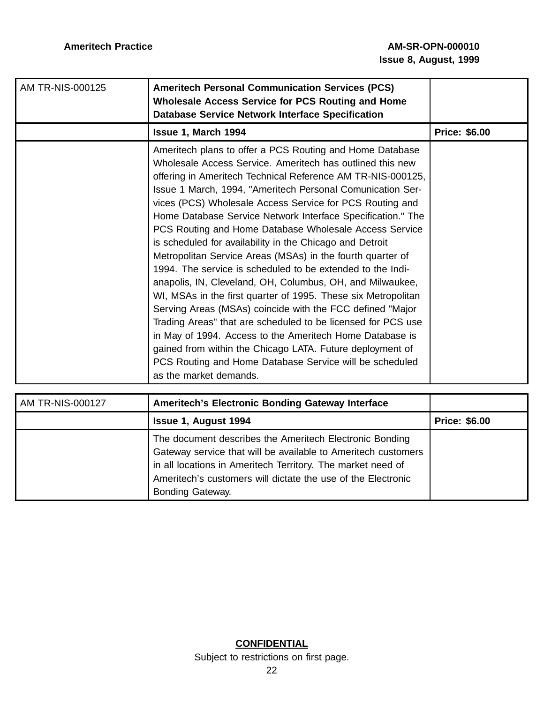| AM TR-NIS-000125 | <b>Ameritech Personal Communication Services (PCS)</b><br>Wholesale Access Service for PCS Routing and Home<br><b>Database Service Network Interface Specification</b>                                                                                                                                                                                                                                                                                                                                                                                                                                                                                                                                                                                                                                                                                                                                                                                                                                                                                                                                   |                      |
|------------------|----------------------------------------------------------------------------------------------------------------------------------------------------------------------------------------------------------------------------------------------------------------------------------------------------------------------------------------------------------------------------------------------------------------------------------------------------------------------------------------------------------------------------------------------------------------------------------------------------------------------------------------------------------------------------------------------------------------------------------------------------------------------------------------------------------------------------------------------------------------------------------------------------------------------------------------------------------------------------------------------------------------------------------------------------------------------------------------------------------|----------------------|
|                  | Issue 1, March 1994                                                                                                                                                                                                                                                                                                                                                                                                                                                                                                                                                                                                                                                                                                                                                                                                                                                                                                                                                                                                                                                                                      | <b>Price: \$6.00</b> |
|                  | Ameritech plans to offer a PCS Routing and Home Database<br>Wholesale Access Service. Ameritech has outlined this new<br>offering in Ameritech Technical Reference AM TR-NIS-000125,<br>Issue 1 March, 1994, "Ameritech Personal Comunication Ser-<br>vices (PCS) Wholesale Access Service for PCS Routing and<br>Home Database Service Network Interface Specification." The<br>PCS Routing and Home Database Wholesale Access Service<br>is scheduled for availability in the Chicago and Detroit<br>Metropolitan Service Areas (MSAs) in the fourth quarter of<br>1994. The service is scheduled to be extended to the Indi-<br>anapolis, IN, Cleveland, OH, Columbus, OH, and Milwaukee,<br>WI, MSAs in the first quarter of 1995. These six Metropolitan<br>Serving Areas (MSAs) coincide with the FCC defined "Major<br>Trading Areas" that are scheduled to be licensed for PCS use<br>in May of 1994. Access to the Ameritech Home Database is<br>gained from within the Chicago LATA. Future deployment of<br>PCS Routing and Home Database Service will be scheduled<br>as the market demands. |                      |

| AM TR-NIS-000127 | Ameritech's Electronic Bonding Gateway Interface                                                                                                                                                                                                                            |                      |
|------------------|-----------------------------------------------------------------------------------------------------------------------------------------------------------------------------------------------------------------------------------------------------------------------------|----------------------|
|                  | <b>Issue 1, August 1994</b>                                                                                                                                                                                                                                                 | <b>Price: \$6.00</b> |
|                  | The document describes the Ameritech Electronic Bonding<br>Gateway service that will be available to Ameritech customers<br>in all locations in Ameritech Territory. The market need of<br>Ameritech's customers will dictate the use of the Electronic<br>Bonding Gateway. |                      |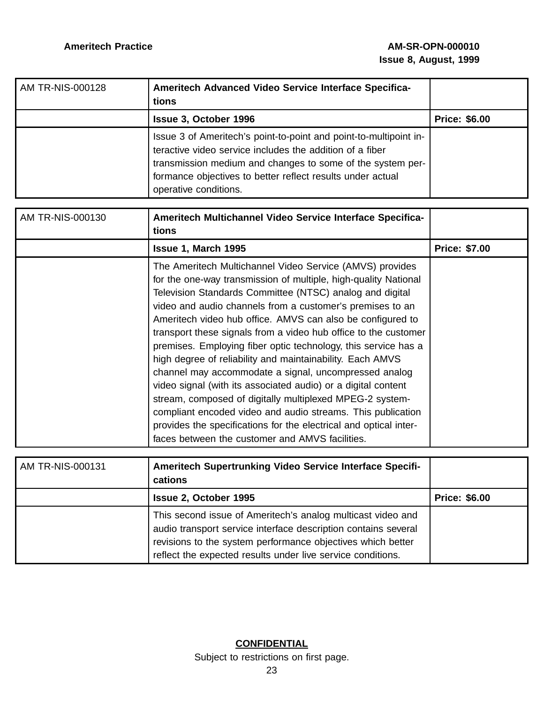| AM TR-NIS-000128 | Ameritech Advanced Video Service Interface Specifica-<br>tions                                                                                                                                                                                                                     |                      |
|------------------|------------------------------------------------------------------------------------------------------------------------------------------------------------------------------------------------------------------------------------------------------------------------------------|----------------------|
|                  | <b>Issue 3, October 1996</b>                                                                                                                                                                                                                                                       | <b>Price: \$6.00</b> |
|                  | Issue 3 of Ameritech's point-to-point and point-to-multipoint in-<br>teractive video service includes the addition of a fiber<br>transmission medium and changes to some of the system per-<br>formance objectives to better reflect results under actual<br>operative conditions. |                      |

| AM TR-NIS-000130 | Ameritech Multichannel Video Service Interface Specifica-<br>tions                                                                                                                                                                                                                                                                                                                                                                                                                                                                                                                                                                                                                                                                                                                                                                                                                                |                      |
|------------------|---------------------------------------------------------------------------------------------------------------------------------------------------------------------------------------------------------------------------------------------------------------------------------------------------------------------------------------------------------------------------------------------------------------------------------------------------------------------------------------------------------------------------------------------------------------------------------------------------------------------------------------------------------------------------------------------------------------------------------------------------------------------------------------------------------------------------------------------------------------------------------------------------|----------------------|
|                  | Issue 1, March 1995                                                                                                                                                                                                                                                                                                                                                                                                                                                                                                                                                                                                                                                                                                                                                                                                                                                                               | <b>Price: \$7.00</b> |
|                  | The Ameritech Multichannel Video Service (AMVS) provides<br>for the one-way transmission of multiple, high-quality National<br>Television Standards Committee (NTSC) analog and digital<br>video and audio channels from a customer's premises to an<br>Ameritech video hub office. AMVS can also be configured to<br>transport these signals from a video hub office to the customer<br>premises. Employing fiber optic technology, this service has a<br>high degree of reliability and maintainability. Each AMVS<br>channel may accommodate a signal, uncompressed analog<br>video signal (with its associated audio) or a digital content<br>stream, composed of digitally multiplexed MPEG-2 system-<br>compliant encoded video and audio streams. This publication<br>provides the specifications for the electrical and optical inter-<br>faces between the customer and AMVS facilities. |                      |

| AM TR-NIS-000131 | Ameritech Supertrunking Video Service Interface Specifi-<br>cations                                                                                                                                                                                         |                      |
|------------------|-------------------------------------------------------------------------------------------------------------------------------------------------------------------------------------------------------------------------------------------------------------|----------------------|
|                  | <b>Issue 2, October 1995</b>                                                                                                                                                                                                                                | <b>Price: \$6.00</b> |
|                  | This second issue of Ameritech's analog multicast video and<br>audio transport service interface description contains several<br>revisions to the system performance objectives which better<br>reflect the expected results under live service conditions. |                      |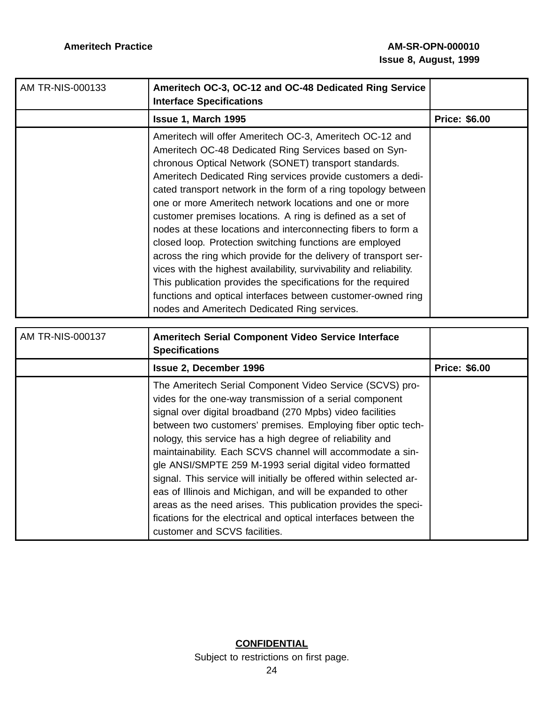| AM TR-NIS-000133 | Ameritech OC-3, OC-12 and OC-48 Dedicated Ring Service<br><b>Interface Specifications</b>                                                                                                                                                                                                                                                                                                                                                                                                                                                                                                                                                                                                                                                                                                                                                                                                     |                      |
|------------------|-----------------------------------------------------------------------------------------------------------------------------------------------------------------------------------------------------------------------------------------------------------------------------------------------------------------------------------------------------------------------------------------------------------------------------------------------------------------------------------------------------------------------------------------------------------------------------------------------------------------------------------------------------------------------------------------------------------------------------------------------------------------------------------------------------------------------------------------------------------------------------------------------|----------------------|
|                  | Issue 1, March 1995                                                                                                                                                                                                                                                                                                                                                                                                                                                                                                                                                                                                                                                                                                                                                                                                                                                                           | <b>Price: \$6.00</b> |
|                  | Ameritech will offer Ameritech OC-3, Ameritech OC-12 and<br>Ameritech OC-48 Dedicated Ring Services based on Syn-<br>chronous Optical Network (SONET) transport standards.<br>Ameritech Dedicated Ring services provide customers a dedi-<br>cated transport network in the form of a ring topology between<br>one or more Ameritech network locations and one or more<br>customer premises locations. A ring is defined as a set of<br>nodes at these locations and interconnecting fibers to form a<br>closed loop. Protection switching functions are employed<br>across the ring which provide for the delivery of transport ser-<br>vices with the highest availability, survivability and reliability.<br>This publication provides the specifications for the required<br>functions and optical interfaces between customer-owned ring<br>nodes and Ameritech Dedicated Ring services. |                      |
| AM TR-NIS-000137 | Ameritech Serial Component Video Service Interface<br><b>Specifications</b>                                                                                                                                                                                                                                                                                                                                                                                                                                                                                                                                                                                                                                                                                                                                                                                                                   |                      |
|                  | <b>Issue 2, December 1996</b>                                                                                                                                                                                                                                                                                                                                                                                                                                                                                                                                                                                                                                                                                                                                                                                                                                                                 | <b>Price: \$6.00</b> |
|                  | The Ameritech Serial Component Video Service (SCVS) pro-<br>vides for the one-way transmission of a serial component<br>signal over digital broadband (270 Mpbs) video facilities<br>between two customers' premises. Employing fiber optic tech-<br>nology, this service has a high degree of reliability and<br>maintainability. Each SCVS channel will accommodate a sin-<br>gle ANSI/SMPTE 259 M-1993 serial digital video formatted<br>signal. This service will initially be offered within selected ar-<br>eas of Illinois and Michigan, and will be expanded to other<br>areas as the need arises. This publication provides the speci-<br>fications for the electrical and optical interfaces between the<br>customer and SCVS facilities.                                                                                                                                           |                      |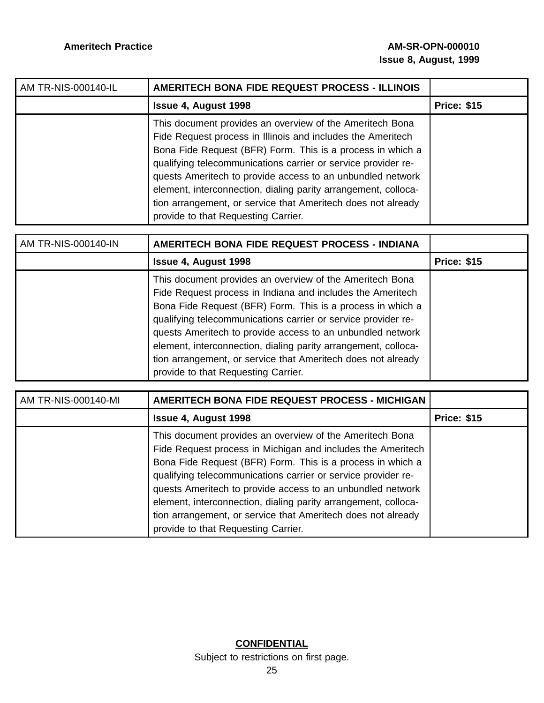| AM TR-NIS-000140-IL | AMERITECH BONA FIDE REQUEST PROCESS - ILLINOIS                                                                                                                                                                                                                                                                                                                                                                                                                                                |                    |
|---------------------|-----------------------------------------------------------------------------------------------------------------------------------------------------------------------------------------------------------------------------------------------------------------------------------------------------------------------------------------------------------------------------------------------------------------------------------------------------------------------------------------------|--------------------|
|                     | <b>Issue 4, August 1998</b>                                                                                                                                                                                                                                                                                                                                                                                                                                                                   | <b>Price: \$15</b> |
|                     | This document provides an overview of the Ameritech Bona<br>Fide Request process in Illinois and includes the Ameritech<br>Bona Fide Request (BFR) Form. This is a process in which a<br>qualifying telecommunications carrier or service provider re-<br>quests Ameritech to provide access to an unbundled network<br>element, interconnection, dialing parity arrangement, colloca-<br>tion arrangement, or service that Ameritech does not already<br>provide to that Requesting Carrier. |                    |

| AM TR-NIS-000140-IN | AMERITECH BONA FIDE REQUEST PROCESS - INDIANA                                                                                                                                                                                                                                                                                                                                                                                                                                                |                    |
|---------------------|----------------------------------------------------------------------------------------------------------------------------------------------------------------------------------------------------------------------------------------------------------------------------------------------------------------------------------------------------------------------------------------------------------------------------------------------------------------------------------------------|--------------------|
|                     | <b>Issue 4, August 1998</b>                                                                                                                                                                                                                                                                                                                                                                                                                                                                  | <b>Price: \$15</b> |
|                     | This document provides an overview of the Ameritech Bona<br>Fide Request process in Indiana and includes the Ameritech<br>Bona Fide Request (BFR) Form. This is a process in which a<br>qualifying telecommunications carrier or service provider re-<br>quests Ameritech to provide access to an unbundled network<br>element, interconnection, dialing parity arrangement, colloca-<br>tion arrangement, or service that Ameritech does not already<br>provide to that Requesting Carrier. |                    |

| AM TR-NIS-000140-MI | <b>AMERITECH BONA FIDE REQUEST PROCESS - MICHIGAN</b>                                                                                                                                                                                                                                                                                                                                                                                                                                         |                    |
|---------------------|-----------------------------------------------------------------------------------------------------------------------------------------------------------------------------------------------------------------------------------------------------------------------------------------------------------------------------------------------------------------------------------------------------------------------------------------------------------------------------------------------|--------------------|
|                     | <b>Issue 4, August 1998</b>                                                                                                                                                                                                                                                                                                                                                                                                                                                                   | <b>Price: \$15</b> |
|                     | This document provides an overview of the Ameritech Bona<br>Fide Request process in Michigan and includes the Ameritech<br>Bona Fide Request (BFR) Form. This is a process in which a<br>qualifying telecommunications carrier or service provider re-<br>quests Ameritech to provide access to an unbundled network<br>element, interconnection, dialing parity arrangement, colloca-<br>tion arrangement, or service that Ameritech does not already<br>provide to that Requesting Carrier. |                    |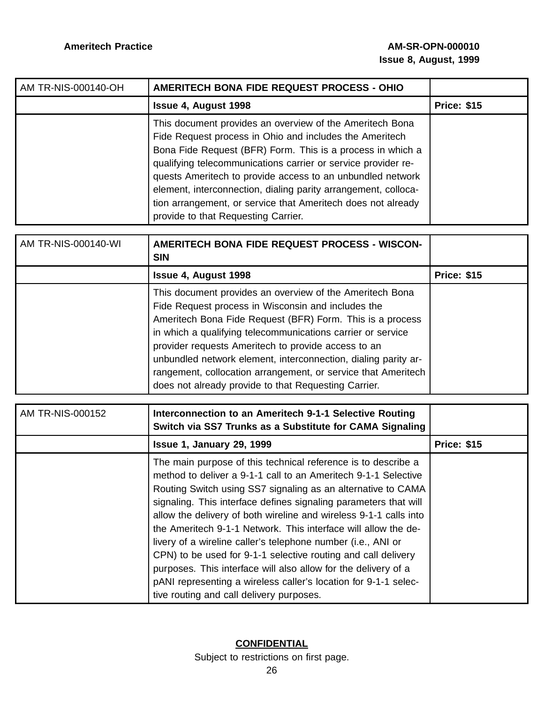| AM TR-NIS-000140-OH | <b>AMERITECH BONA FIDE REQUEST PROCESS - OHIO</b>                                                                                                                                                                                                                                                                                                                                                                                                                                         |                    |
|---------------------|-------------------------------------------------------------------------------------------------------------------------------------------------------------------------------------------------------------------------------------------------------------------------------------------------------------------------------------------------------------------------------------------------------------------------------------------------------------------------------------------|--------------------|
|                     | <b>Issue 4, August 1998</b>                                                                                                                                                                                                                                                                                                                                                                                                                                                               | <b>Price: \$15</b> |
|                     | This document provides an overview of the Ameritech Bona<br>Fide Request process in Ohio and includes the Ameritech<br>Bona Fide Request (BFR) Form. This is a process in which a<br>qualifying telecommunications carrier or service provider re-<br>quests Ameritech to provide access to an unbundled network<br>element, interconnection, dialing parity arrangement, colloca-<br>tion arrangement, or service that Ameritech does not already<br>provide to that Requesting Carrier. |                    |
| AM TR-NIS-000140-WI | <b>AMERITECH BONA FIDE REQUEST PROCESS - WISCON-</b><br><b>SIN</b>                                                                                                                                                                                                                                                                                                                                                                                                                        |                    |
|                     | <b>Issue 4, August 1998</b>                                                                                                                                                                                                                                                                                                                                                                                                                                                               | <b>Price: \$15</b> |

| ISSUE 4, AUGUST 1998                                           | Price: 315 |
|----------------------------------------------------------------|------------|
| This document provides an overview of the Ameritech Bona       |            |
| Fide Request process in Wisconsin and includes the             |            |
| Ameritech Bona Fide Request (BFR) Form. This is a process      |            |
| in which a qualifying telecommunications carrier or service    |            |
| provider requests Ameritech to provide access to an            |            |
| unbundled network element, interconnection, dialing parity ar- |            |
| rangement, collocation arrangement, or service that Ameritech  |            |
| does not already provide to that Requesting Carrier.           |            |
|                                                                |            |

| AM TR-NIS-000152 | Interconnection to an Ameritech 9-1-1 Selective Routing<br>Switch via SS7 Trunks as a Substitute for CAMA Signaling                                                                                                                                                                                                                                                                                                                                                                                                                                                                                                                                                                                                          |                    |
|------------------|------------------------------------------------------------------------------------------------------------------------------------------------------------------------------------------------------------------------------------------------------------------------------------------------------------------------------------------------------------------------------------------------------------------------------------------------------------------------------------------------------------------------------------------------------------------------------------------------------------------------------------------------------------------------------------------------------------------------------|--------------------|
|                  | <b>Issue 1, January 29, 1999</b>                                                                                                                                                                                                                                                                                                                                                                                                                                                                                                                                                                                                                                                                                             | <b>Price: \$15</b> |
|                  | The main purpose of this technical reference is to describe a<br>method to deliver a 9-1-1 call to an Ameritech 9-1-1 Selective<br>Routing Switch using SS7 signaling as an alternative to CAMA<br>signaling. This interface defines signaling parameters that will<br>allow the delivery of both wireline and wireless 9-1-1 calls into<br>the Ameritech 9-1-1 Network. This interface will allow the de-<br>livery of a wireline caller's telephone number (i.e., ANI or<br>CPN) to be used for 9-1-1 selective routing and call delivery<br>purposes. This interface will also allow for the delivery of a<br>pANI representing a wireless caller's location for 9-1-1 selec-<br>tive routing and call delivery purposes. |                    |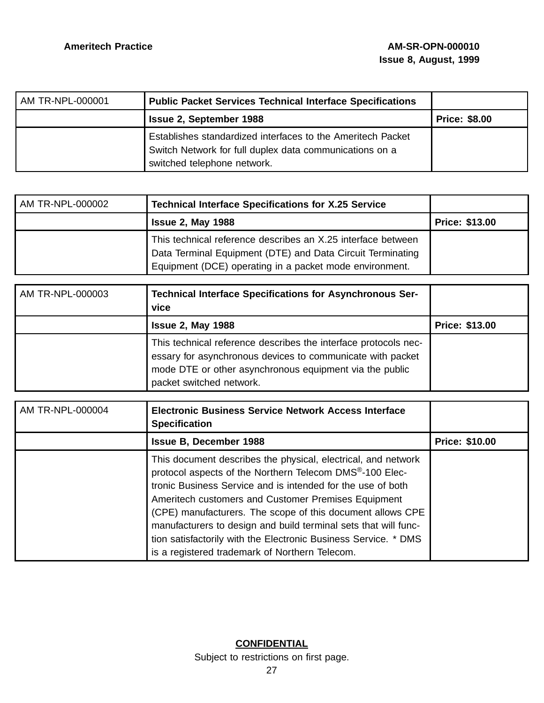| AM TR-NPL-000001 | <b>Public Packet Services Technical Interface Specifications</b>                                                                                      |                      |
|------------------|-------------------------------------------------------------------------------------------------------------------------------------------------------|----------------------|
|                  | <b>Issue 2, September 1988</b>                                                                                                                        | <b>Price: \$8.00</b> |
|                  | Establishes standardized interfaces to the Ameritech Packet<br>Switch Network for full duplex data communications on a<br>switched telephone network. |                      |

| AM TR-NPL-000002 | <b>Technical Interface Specifications for X.25 Service</b>                                                                                                                            |                       |
|------------------|---------------------------------------------------------------------------------------------------------------------------------------------------------------------------------------|-----------------------|
|                  | <b>Issue 2, May 1988</b>                                                                                                                                                              | <b>Price: \$13.00</b> |
|                  | This technical reference describes an X.25 interface between<br>Data Terminal Equipment (DTE) and Data Circuit Terminating<br>Equipment (DCE) operating in a packet mode environment. |                       |

| AM TR-NPL-000003 | <b>Technical Interface Specifications for Asynchronous Ser-</b><br>vice                                                                                                                                              |                       |
|------------------|----------------------------------------------------------------------------------------------------------------------------------------------------------------------------------------------------------------------|-----------------------|
|                  | <b>Issue 2, May 1988</b>                                                                                                                                                                                             | <b>Price: \$13.00</b> |
|                  | This technical reference describes the interface protocols nec-<br>essary for asynchronous devices to communicate with packet<br>mode DTE or other asynchronous equipment via the public<br>packet switched network. |                       |

| AM TR-NPL-000004 | <b>Electronic Business Service Network Access Interface</b><br><b>Specification</b>                                                                                                                                                                                                                                                                                                                                                                                                                  |                       |
|------------------|------------------------------------------------------------------------------------------------------------------------------------------------------------------------------------------------------------------------------------------------------------------------------------------------------------------------------------------------------------------------------------------------------------------------------------------------------------------------------------------------------|-----------------------|
|                  | <b>Issue B, December 1988</b>                                                                                                                                                                                                                                                                                                                                                                                                                                                                        | <b>Price: \$10.00</b> |
|                  | This document describes the physical, electrical, and network<br>protocol aspects of the Northern Telecom DMS®-100 Elec-<br>tronic Business Service and is intended for the use of both<br>Ameritech customers and Customer Premises Equipment<br>(CPE) manufacturers. The scope of this document allows CPE<br>manufacturers to design and build terminal sets that will func-<br>tion satisfactorily with the Electronic Business Service. * DMS<br>is a registered trademark of Northern Telecom. |                       |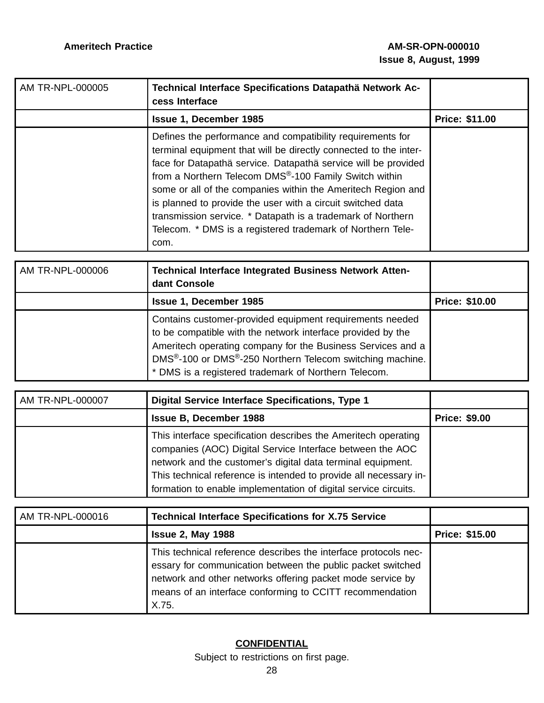| AM TR-NPL-000005 | Technical Interface Specifications Datapathä Network Ac-<br>cess Interface                                                                                                                                                                                                                                                                                                                                                                                                                                                    |                       |
|------------------|-------------------------------------------------------------------------------------------------------------------------------------------------------------------------------------------------------------------------------------------------------------------------------------------------------------------------------------------------------------------------------------------------------------------------------------------------------------------------------------------------------------------------------|-----------------------|
|                  | <b>Issue 1, December 1985</b>                                                                                                                                                                                                                                                                                                                                                                                                                                                                                                 | <b>Price: \$11.00</b> |
|                  | Defines the performance and compatibility requirements for<br>terminal equipment that will be directly connected to the inter-<br>face for Datapathä service. Datapathä service will be provided<br>from a Northern Telecom DMS®-100 Family Switch within<br>some or all of the companies within the Ameritech Region and<br>is planned to provide the user with a circuit switched data<br>transmission service. * Datapath is a trademark of Northern<br>Telecom. * DMS is a registered trademark of Northern Tele-<br>com. |                       |

| AM TR-NPL-000006 | <b>Technical Interface Integrated Business Network Atten-</b><br>dant Console                                                                                                                                                                                                                                                        |                       |
|------------------|--------------------------------------------------------------------------------------------------------------------------------------------------------------------------------------------------------------------------------------------------------------------------------------------------------------------------------------|-----------------------|
|                  | <b>Issue 1, December 1985</b>                                                                                                                                                                                                                                                                                                        | <b>Price: \$10.00</b> |
|                  | Contains customer-provided equipment requirements needed<br>to be compatible with the network interface provided by the<br>Ameritech operating company for the Business Services and a<br>DMS <sup>®</sup> -100 or DMS <sup>®</sup> -250 Northern Telecom switching machine.<br>* DMS is a registered trademark of Northern Telecom. |                       |

| AM TR-NPL-000007 | <b>Digital Service Interface Specifications, Type 1</b>                                                                                                                                                                                                                                                                            |                      |
|------------------|------------------------------------------------------------------------------------------------------------------------------------------------------------------------------------------------------------------------------------------------------------------------------------------------------------------------------------|----------------------|
|                  | <b>Issue B. December 1988</b>                                                                                                                                                                                                                                                                                                      | <b>Price: \$9.00</b> |
|                  | This interface specification describes the Ameritech operating<br>companies (AOC) Digital Service Interface between the AOC<br>network and the customer's digital data terminal equipment.<br>This technical reference is intended to provide all necessary in-<br>formation to enable implementation of digital service circuits. |                      |

| AM TR-NPL-000016 | <b>Technical Interface Specifications for X.75 Service</b>                                                                                                                                                                                                        |                       |
|------------------|-------------------------------------------------------------------------------------------------------------------------------------------------------------------------------------------------------------------------------------------------------------------|-----------------------|
|                  | <b>Issue 2, May 1988</b>                                                                                                                                                                                                                                          | <b>Price: \$15.00</b> |
|                  | This technical reference describes the interface protocols nec-<br>essary for communication between the public packet switched<br>network and other networks offering packet mode service by<br>means of an interface conforming to CCITT recommendation<br>X.75. |                       |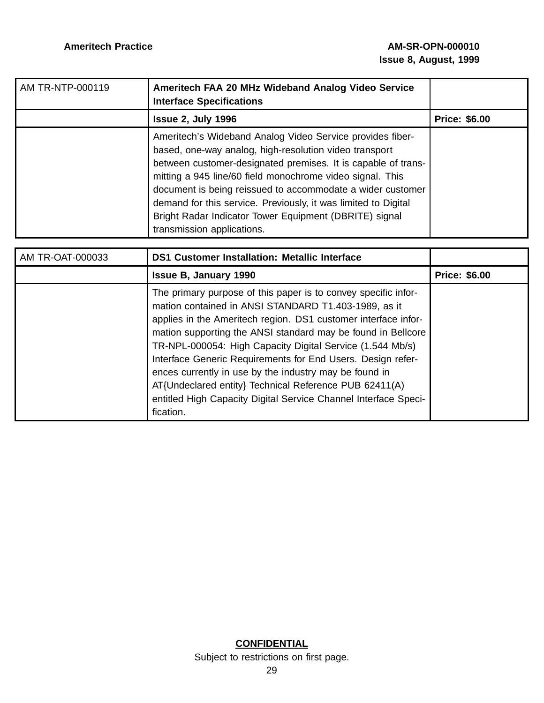| AM TR-NTP-000119 | Ameritech FAA 20 MHz Wideband Analog Video Service<br><b>Interface Specifications</b>                                                                                                                                                                                                                                                                                                                                                                                     |                      |
|------------------|---------------------------------------------------------------------------------------------------------------------------------------------------------------------------------------------------------------------------------------------------------------------------------------------------------------------------------------------------------------------------------------------------------------------------------------------------------------------------|----------------------|
|                  | <b>Issue 2, July 1996</b>                                                                                                                                                                                                                                                                                                                                                                                                                                                 | <b>Price: \$6.00</b> |
|                  | Ameritech's Wideband Analog Video Service provides fiber-<br>based, one-way analog, high-resolution video transport<br>between customer-designated premises. It is capable of trans-<br>mitting a 945 line/60 field monochrome video signal. This<br>document is being reissued to accommodate a wider customer<br>demand for this service. Previously, it was limited to Digital<br>Bright Radar Indicator Tower Equipment (DBRITE) signal<br>transmission applications. |                      |

| AM TR-OAT-000033 | <b>DS1 Customer Installation: Metallic Interface</b>                                                                                                                                                                                                                                                                                                                                                                                                                                                                                                                                     |                      |
|------------------|------------------------------------------------------------------------------------------------------------------------------------------------------------------------------------------------------------------------------------------------------------------------------------------------------------------------------------------------------------------------------------------------------------------------------------------------------------------------------------------------------------------------------------------------------------------------------------------|----------------------|
|                  | <b>Issue B, January 1990</b>                                                                                                                                                                                                                                                                                                                                                                                                                                                                                                                                                             | <b>Price: \$6.00</b> |
|                  | The primary purpose of this paper is to convey specific infor-<br>mation contained in ANSI STANDARD T1.403-1989, as it<br>applies in the Ameritech region. DS1 customer interface infor-<br>mation supporting the ANSI standard may be found in Bellcore<br>TR-NPL-000054: High Capacity Digital Service (1.544 Mb/s)<br>Interface Generic Requirements for End Users. Design refer-<br>ences currently in use by the industry may be found in<br>AT{Undeclared entity} Technical Reference PUB 62411(A)<br>entitled High Capacity Digital Service Channel Interface Speci-<br>fication. |                      |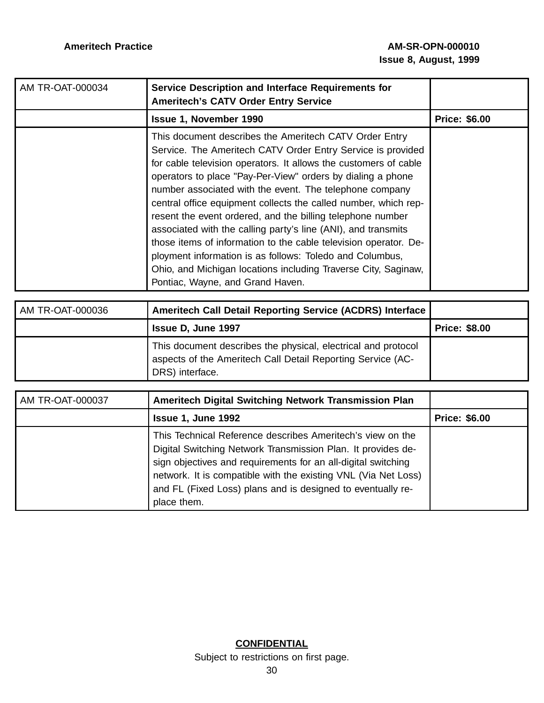| AM TR-OAT-000034 | Service Description and Interface Requirements for<br><b>Ameritech's CATV Order Entry Service</b>                                                                                                                                                                                                                                                                                                                                                                                                                                                                                                                                                                                                                                                           |                      |
|------------------|-------------------------------------------------------------------------------------------------------------------------------------------------------------------------------------------------------------------------------------------------------------------------------------------------------------------------------------------------------------------------------------------------------------------------------------------------------------------------------------------------------------------------------------------------------------------------------------------------------------------------------------------------------------------------------------------------------------------------------------------------------------|----------------------|
|                  | <b>Issue 1, November 1990</b>                                                                                                                                                                                                                                                                                                                                                                                                                                                                                                                                                                                                                                                                                                                               | <b>Price: \$6.00</b> |
|                  | This document describes the Ameritech CATV Order Entry<br>Service. The Ameritech CATV Order Entry Service is provided<br>for cable television operators. It allows the customers of cable<br>operators to place "Pay-Per-View" orders by dialing a phone<br>number associated with the event. The telephone company<br>central office equipment collects the called number, which rep-<br>resent the event ordered, and the billing telephone number<br>associated with the calling party's line (ANI), and transmits<br>those items of information to the cable television operator. De-<br>ployment information is as follows: Toledo and Columbus,<br>Ohio, and Michigan locations including Traverse City, Saginaw,<br>Pontiac, Wayne, and Grand Haven. |                      |

| AM TR-OAT-000036 | <b>Ameritech Call Detail Reporting Service (ACDRS) Interface</b>                                                                                |                      |
|------------------|-------------------------------------------------------------------------------------------------------------------------------------------------|----------------------|
|                  | Issue D. June 1997                                                                                                                              | <b>Price: \$8.00</b> |
|                  | This document describes the physical, electrical and protocol<br>aspects of the Ameritech Call Detail Reporting Service (AC-<br>DRS) interface. |                      |

| AM TR-OAT-000037 | Ameritech Digital Switching Network Transmission Plan                                                                                                                                                                                                                                                                                       |                      |
|------------------|---------------------------------------------------------------------------------------------------------------------------------------------------------------------------------------------------------------------------------------------------------------------------------------------------------------------------------------------|----------------------|
|                  | Issue 1, June 1992                                                                                                                                                                                                                                                                                                                          | <b>Price: \$6.00</b> |
|                  | This Technical Reference describes Ameritech's view on the<br>Digital Switching Network Transmission Plan. It provides de-<br>sign objectives and requirements for an all-digital switching<br>network. It is compatible with the existing VNL (Via Net Loss)<br>and FL (Fixed Loss) plans and is designed to eventually re-<br>place them. |                      |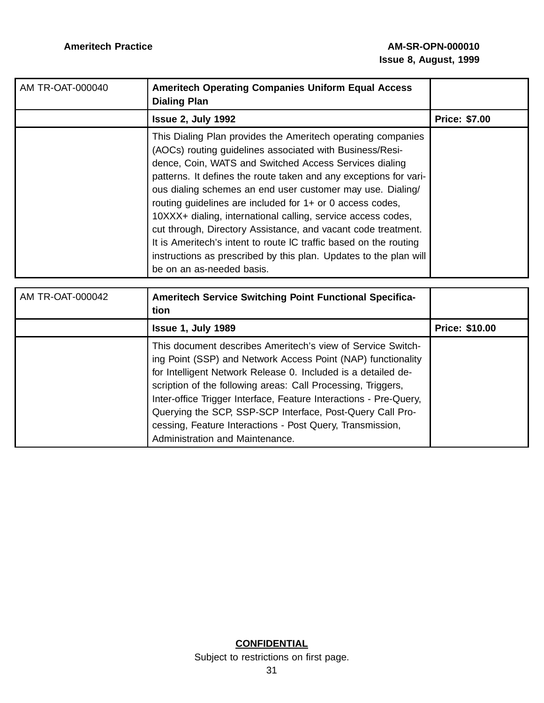| AM TR-OAT-000040        | <b>Ameritech Operating Companies Uniform Equal Access</b><br><b>Dialing Plan</b>                                                                                                                                                                                                                                                                                                                                                                                                                                                                                                                                                                                                           |                      |
|-------------------------|--------------------------------------------------------------------------------------------------------------------------------------------------------------------------------------------------------------------------------------------------------------------------------------------------------------------------------------------------------------------------------------------------------------------------------------------------------------------------------------------------------------------------------------------------------------------------------------------------------------------------------------------------------------------------------------------|----------------------|
|                         | Issue 2, July 1992                                                                                                                                                                                                                                                                                                                                                                                                                                                                                                                                                                                                                                                                         | <b>Price: \$7.00</b> |
|                         | This Dialing Plan provides the Ameritech operating companies<br>(AOCs) routing guidelines associated with Business/Resi-<br>dence, Coin, WATS and Switched Access Services dialing<br>patterns. It defines the route taken and any exceptions for vari-<br>ous dialing schemes an end user customer may use. Dialing/<br>routing guidelines are included for 1+ or 0 access codes,<br>10XXX+ dialing, international calling, service access codes,<br>cut through, Directory Assistance, and vacant code treatment.<br>It is Ameritech's intent to route IC traffic based on the routing<br>instructions as prescribed by this plan. Updates to the plan will<br>be on an as-needed basis. |                      |
| <b>AM TR-OAT-000042</b> | <b>Ameritech Service Switching Point Functional Specifica-</b><br>tion                                                                                                                                                                                                                                                                                                                                                                                                                                                                                                                                                                                                                     |                      |
|                         | <b>Issue 1, July 1989</b>                                                                                                                                                                                                                                                                                                                                                                                                                                                                                                                                                                                                                                                                  | Price: \$10.00       |
|                         | This document describes Ameritech's view of Service Switch-<br>ing Point (SSP) and Network Access Point (NAP) functionality<br>for Intelligent Network Release 0. Included is a detailed de-<br>scription of the following areas: Call Processing, Triggers,<br>Inter-office Trigger Interface, Feature Interactions - Pre-Query,<br>Querying the SCP, SSP-SCP Interface, Post-Query Call Pro-<br>cessing, Feature Interactions - Post Query, Transmission,<br>Administration and Maintenance.                                                                                                                                                                                             |                      |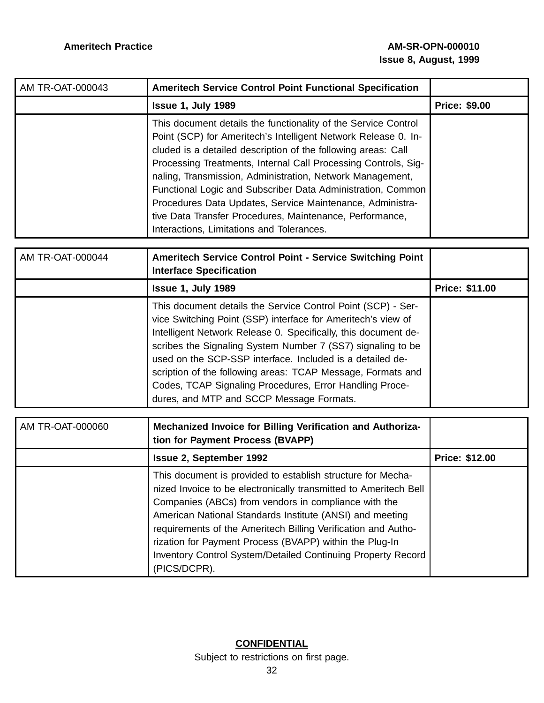| AM TR-OAT-000043 | <b>Ameritech Service Control Point Functional Specification</b>                                                                                                                                                                                                                                                                                                                                                                                                                                                                                                       |                      |
|------------------|-----------------------------------------------------------------------------------------------------------------------------------------------------------------------------------------------------------------------------------------------------------------------------------------------------------------------------------------------------------------------------------------------------------------------------------------------------------------------------------------------------------------------------------------------------------------------|----------------------|
|                  | <b>Issue 1, July 1989</b>                                                                                                                                                                                                                                                                                                                                                                                                                                                                                                                                             | <b>Price: \$9.00</b> |
|                  | This document details the functionality of the Service Control<br>Point (SCP) for Ameritech's Intelligent Network Release 0. In-<br>cluded is a detailed description of the following areas: Call<br>Processing Treatments, Internal Call Processing Controls, Sig-<br>naling, Transmission, Administration, Network Management,<br>Functional Logic and Subscriber Data Administration, Common<br>Procedures Data Updates, Service Maintenance, Administra-<br>tive Data Transfer Procedures, Maintenance, Performance,<br>Interactions, Limitations and Tolerances. |                      |

| AM TR-OAT-000044 | <b>Ameritech Service Control Point - Service Switching Point</b><br><b>Interface Specification</b>                                                                                                                                                                                                                                                                                                                                                                                               |                       |
|------------------|--------------------------------------------------------------------------------------------------------------------------------------------------------------------------------------------------------------------------------------------------------------------------------------------------------------------------------------------------------------------------------------------------------------------------------------------------------------------------------------------------|-----------------------|
|                  | <b>Issue 1, July 1989</b>                                                                                                                                                                                                                                                                                                                                                                                                                                                                        | <b>Price: \$11.00</b> |
|                  | This document details the Service Control Point (SCP) - Ser-<br>vice Switching Point (SSP) interface for Ameritech's view of<br>Intelligent Network Release 0. Specifically, this document de-<br>scribes the Signaling System Number 7 (SS7) signaling to be<br>used on the SCP-SSP interface. Included is a detailed de-<br>scription of the following areas: TCAP Message, Formats and<br>Codes, TCAP Signaling Procedures, Error Handling Proce-<br>dures, and MTP and SCCP Message Formats. |                       |

| AM TR-OAT-000060 | Mechanized Invoice for Billing Verification and Authoriza-<br>tion for Payment Process (BVAPP)                                                                                                                                                                                                                                                                                                                                                                  |                       |
|------------------|-----------------------------------------------------------------------------------------------------------------------------------------------------------------------------------------------------------------------------------------------------------------------------------------------------------------------------------------------------------------------------------------------------------------------------------------------------------------|-----------------------|
|                  | <b>Issue 2, September 1992</b>                                                                                                                                                                                                                                                                                                                                                                                                                                  | <b>Price: \$12.00</b> |
|                  | This document is provided to establish structure for Mecha-<br>nized Invoice to be electronically transmitted to Ameritech Bell<br>Companies (ABCs) from vendors in compliance with the<br>American National Standards Institute (ANSI) and meeting<br>requirements of the Ameritech Billing Verification and Autho-<br>rization for Payment Process (BVAPP) within the Plug-In<br>Inventory Control System/Detailed Continuing Property Record<br>(PICS/DCPR). |                       |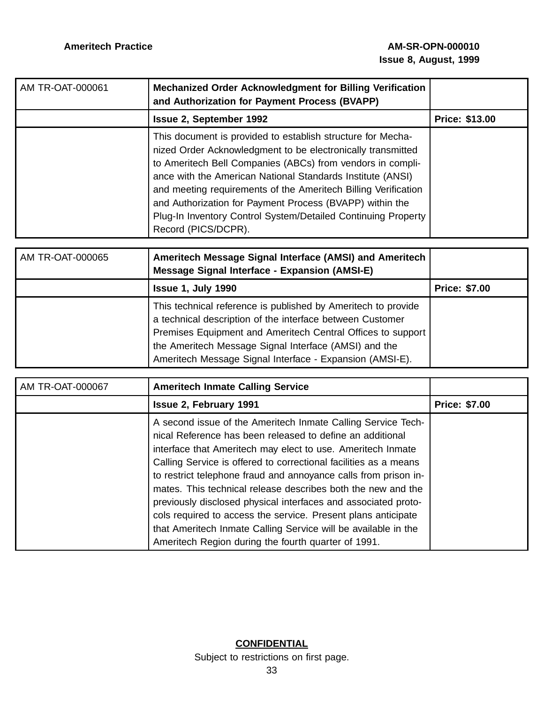| AM TR-OAT-000061 | Mechanized Order Acknowledgment for Billing Verification<br>and Authorization for Payment Process (BVAPP)                                                                                                                                                                                                                                                                                                                                                                    |                       |
|------------------|------------------------------------------------------------------------------------------------------------------------------------------------------------------------------------------------------------------------------------------------------------------------------------------------------------------------------------------------------------------------------------------------------------------------------------------------------------------------------|-----------------------|
|                  | <b>Issue 2, September 1992</b>                                                                                                                                                                                                                                                                                                                                                                                                                                               | <b>Price: \$13.00</b> |
|                  | This document is provided to establish structure for Mecha-<br>nized Order Acknowledgment to be electronically transmitted<br>to Ameritech Bell Companies (ABCs) from vendors in compli-<br>ance with the American National Standards Institute (ANSI)<br>and meeting requirements of the Ameritech Billing Verification<br>and Authorization for Payment Process (BVAPP) within the<br>Plug-In Inventory Control System/Detailed Continuing Property<br>Record (PICS/DCPR). |                       |

| AM TR-OAT-000065 | Ameritech Message Signal Interface (AMSI) and Ameritech<br>Message Signal Interface - Expansion (AMSI-E)                                                                                                                                                                                                       |                      |
|------------------|----------------------------------------------------------------------------------------------------------------------------------------------------------------------------------------------------------------------------------------------------------------------------------------------------------------|----------------------|
|                  | Issue 1, July 1990                                                                                                                                                                                                                                                                                             | <b>Price: \$7.00</b> |
|                  | This technical reference is published by Ameritech to provide<br>a technical description of the interface between Customer<br>Premises Equipment and Ameritech Central Offices to support<br>the Ameritech Message Signal Interface (AMSI) and the<br>Ameritech Message Signal Interface - Expansion (AMSI-E). |                      |

| AM TR-OAT-000067 | <b>Ameritech Inmate Calling Service</b>                                                                                                                                                                                                                                                                                                                                                                                                                                                                                                                                                                                                                     |                      |
|------------------|-------------------------------------------------------------------------------------------------------------------------------------------------------------------------------------------------------------------------------------------------------------------------------------------------------------------------------------------------------------------------------------------------------------------------------------------------------------------------------------------------------------------------------------------------------------------------------------------------------------------------------------------------------------|----------------------|
|                  | <b>Issue 2, February 1991</b>                                                                                                                                                                                                                                                                                                                                                                                                                                                                                                                                                                                                                               | <b>Price: \$7.00</b> |
|                  | A second issue of the Ameritech Inmate Calling Service Tech-<br>nical Reference has been released to define an additional<br>interface that Ameritech may elect to use. Ameritech Inmate<br>Calling Service is offered to correctional facilities as a means<br>to restrict telephone fraud and annoyance calls from prison in-<br>mates. This technical release describes both the new and the<br>previously disclosed physical interfaces and associated proto-<br>cols required to access the service. Present plans anticipate<br>that Ameritech Inmate Calling Service will be available in the<br>Ameritech Region during the fourth quarter of 1991. |                      |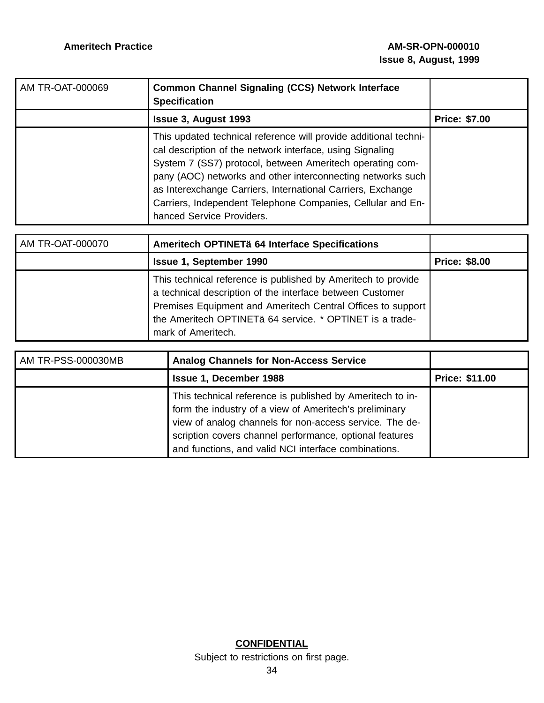| AM TR-OAT-000069 | <b>Common Channel Signaling (CCS) Network Interface</b><br><b>Specification</b>                                                                                                                                                                                                                                                                                                                                      |                      |
|------------------|----------------------------------------------------------------------------------------------------------------------------------------------------------------------------------------------------------------------------------------------------------------------------------------------------------------------------------------------------------------------------------------------------------------------|----------------------|
|                  | <b>Issue 3, August 1993</b>                                                                                                                                                                                                                                                                                                                                                                                          | <b>Price: \$7.00</b> |
|                  | This updated technical reference will provide additional techni-<br>cal description of the network interface, using Signaling<br>System 7 (SS7) protocol, between Ameritech operating com-<br>pany (AOC) networks and other interconnecting networks such<br>as Interexchange Carriers, International Carriers, Exchange<br>Carriers, Independent Telephone Companies, Cellular and En-<br>hanced Service Providers. |                      |

| AM TR-OAT-000070 | Ameritech OPTINETä 64 Interface Specifications                                                                                                                                                                                                                              |                      |
|------------------|-----------------------------------------------------------------------------------------------------------------------------------------------------------------------------------------------------------------------------------------------------------------------------|----------------------|
|                  | <b>Issue 1, September 1990</b>                                                                                                                                                                                                                                              | <b>Price: \$8.00</b> |
|                  | This technical reference is published by Ameritech to provide<br>a technical description of the interface between Customer<br>Premises Equipment and Ameritech Central Offices to support<br>the Ameritech OPTINETä 64 service. * OPTINET is a trade-<br>mark of Ameritech. |                      |

| AM TR-PSS-000030MB | <b>Analog Channels for Non-Access Service</b>                                                                                                                                                                                                                                                     |                       |
|--------------------|---------------------------------------------------------------------------------------------------------------------------------------------------------------------------------------------------------------------------------------------------------------------------------------------------|-----------------------|
|                    | <b>Issue 1, December 1988</b>                                                                                                                                                                                                                                                                     | <b>Price: \$11.00</b> |
|                    | This technical reference is published by Ameritech to in-<br>form the industry of a view of Ameritech's preliminary<br>view of analog channels for non-access service. The de-<br>scription covers channel performance, optional features<br>and functions, and valid NCI interface combinations. |                       |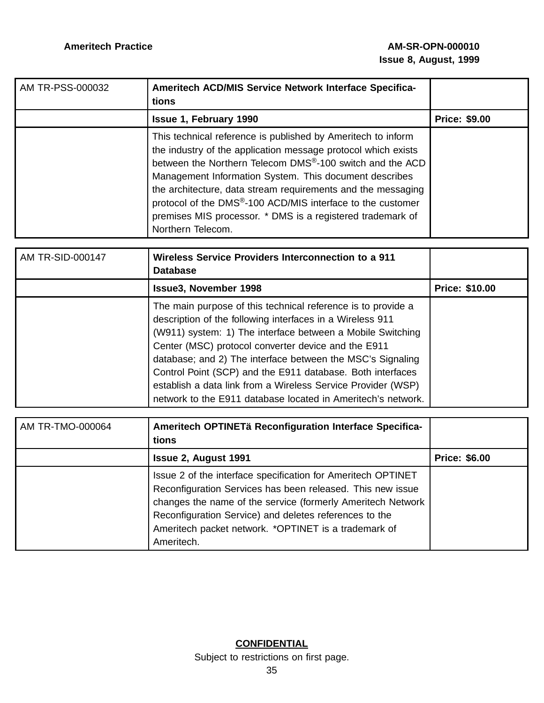| AM TR-PSS-000032 | Ameritech ACD/MIS Service Network Interface Specifica-<br>tions                                                                                                                                                                                                                                                                                                                                                                                                                                |                      |
|------------------|------------------------------------------------------------------------------------------------------------------------------------------------------------------------------------------------------------------------------------------------------------------------------------------------------------------------------------------------------------------------------------------------------------------------------------------------------------------------------------------------|----------------------|
|                  | <b>Issue 1, February 1990</b>                                                                                                                                                                                                                                                                                                                                                                                                                                                                  | <b>Price: \$9.00</b> |
|                  | This technical reference is published by Ameritech to inform<br>the industry of the application message protocol which exists<br>between the Northern Telecom DMS <sup>®</sup> -100 switch and the ACD<br>Management Information System. This document describes<br>the architecture, data stream requirements and the messaging<br>protocol of the DMS <sup>®</sup> -100 ACD/MIS interface to the customer<br>premises MIS processor. * DMS is a registered trademark of<br>Northern Telecom. |                      |

| <b>AM TR-SID-000147</b> | <b>Wireless Service Providers Interconnection to a 911</b><br><b>Database</b>                                                                                                                                                                                                                                                                                                                                                                                                                              |                       |
|-------------------------|------------------------------------------------------------------------------------------------------------------------------------------------------------------------------------------------------------------------------------------------------------------------------------------------------------------------------------------------------------------------------------------------------------------------------------------------------------------------------------------------------------|-----------------------|
|                         | <b>Issue3, November 1998</b>                                                                                                                                                                                                                                                                                                                                                                                                                                                                               | <b>Price: \$10.00</b> |
|                         | The main purpose of this technical reference is to provide a<br>description of the following interfaces in a Wireless 911<br>(W911) system: 1) The interface between a Mobile Switching<br>Center (MSC) protocol converter device and the E911<br>database; and 2) The interface between the MSC's Signaling<br>Control Point (SCP) and the E911 database. Both interfaces<br>establish a data link from a Wireless Service Provider (WSP)<br>network to the E911 database located in Ameritech's network. |                       |

| AM TR-TMO-000064 | Ameritech OPTINETä Reconfiguration Interface Specifica-<br>tions                                                                                                                                                                                                                                                          |                      |
|------------------|---------------------------------------------------------------------------------------------------------------------------------------------------------------------------------------------------------------------------------------------------------------------------------------------------------------------------|----------------------|
|                  | <b>Issue 2, August 1991</b>                                                                                                                                                                                                                                                                                               | <b>Price: \$6.00</b> |
|                  | Issue 2 of the interface specification for Ameritech OPTINET<br>Reconfiguration Services has been released. This new issue<br>changes the name of the service (formerly Ameritech Network<br>Reconfiguration Service) and deletes references to the<br>Ameritech packet network. *OPTINET is a trademark of<br>Ameritech. |                      |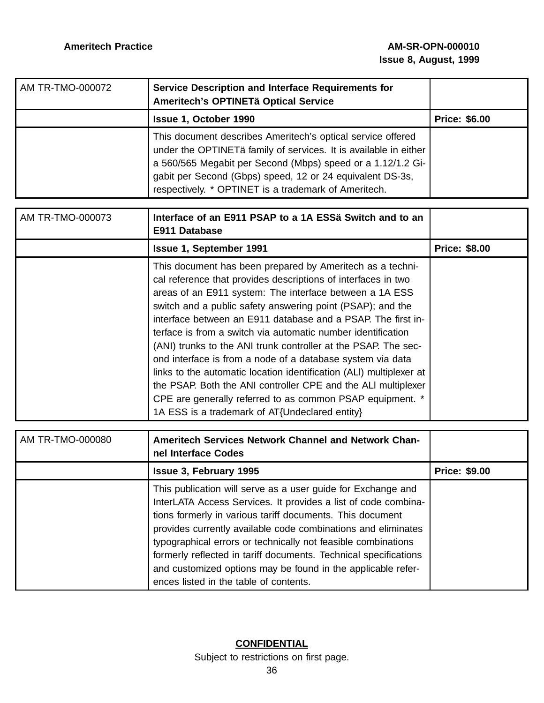| AM TR-TMO-000072 | Service Description and Interface Requirements for<br>Ameritech's OPTINETä Optical Service                                                                                                                                                                                                                          |                      |
|------------------|---------------------------------------------------------------------------------------------------------------------------------------------------------------------------------------------------------------------------------------------------------------------------------------------------------------------|----------------------|
|                  | <b>Issue 1, October 1990</b>                                                                                                                                                                                                                                                                                        | <b>Price: \$6.00</b> |
|                  | This document describes Ameritech's optical service offered<br>under the OPTINETä family of services. It is available in either<br>a 560/565 Megabit per Second (Mbps) speed or a 1.12/1.2 Gi-<br>gabit per Second (Gbps) speed, 12 or 24 equivalent DS-3s,<br>respectively. * OPTINET is a trademark of Ameritech. |                      |

| AM TR-TMO-000073 | Interface of an E911 PSAP to a 1A ESSä Switch and to an<br>E911 Database                                                                                                                                                                                                                                                                                                                                                                                                                                                                                                                                                                                                                                                                                                   |                      |
|------------------|----------------------------------------------------------------------------------------------------------------------------------------------------------------------------------------------------------------------------------------------------------------------------------------------------------------------------------------------------------------------------------------------------------------------------------------------------------------------------------------------------------------------------------------------------------------------------------------------------------------------------------------------------------------------------------------------------------------------------------------------------------------------------|----------------------|
|                  | <b>Issue 1, September 1991</b>                                                                                                                                                                                                                                                                                                                                                                                                                                                                                                                                                                                                                                                                                                                                             | <b>Price: \$8.00</b> |
|                  | This document has been prepared by Ameritech as a techni-<br>cal reference that provides descriptions of interfaces in two<br>areas of an E911 system: The interface between a 1A ESS<br>switch and a public safety answering point (PSAP); and the<br>interface between an E911 database and a PSAP. The first in-<br>terface is from a switch via automatic number identification<br>(ANI) trunks to the ANI trunk controller at the PSAP. The sec-<br>ond interface is from a node of a database system via data<br>links to the automatic location identification (ALI) multiplexer at<br>the PSAP. Both the ANI controller CPE and the ALI multiplexer<br>CPE are generally referred to as common PSAP equipment. *<br>1A ESS is a trademark of AT{Undeclared entity} |                      |

| AM TR-TMO-000080 | <b>Ameritech Services Network Channel and Network Chan-</b><br>nel Interface Codes                                                                                                                                                                                                                                                                                                                                                                                                                          |                      |
|------------------|-------------------------------------------------------------------------------------------------------------------------------------------------------------------------------------------------------------------------------------------------------------------------------------------------------------------------------------------------------------------------------------------------------------------------------------------------------------------------------------------------------------|----------------------|
|                  | <b>Issue 3, February 1995</b>                                                                                                                                                                                                                                                                                                                                                                                                                                                                               | <b>Price: \$9.00</b> |
|                  | This publication will serve as a user guide for Exchange and<br>InterLATA Access Services. It provides a list of code combina-<br>tions formerly in various tariff documents. This document<br>provides currently available code combinations and eliminates<br>typographical errors or technically not feasible combinations<br>formerly reflected in tariff documents. Technical specifications<br>and customized options may be found in the applicable refer-<br>ences listed in the table of contents. |                      |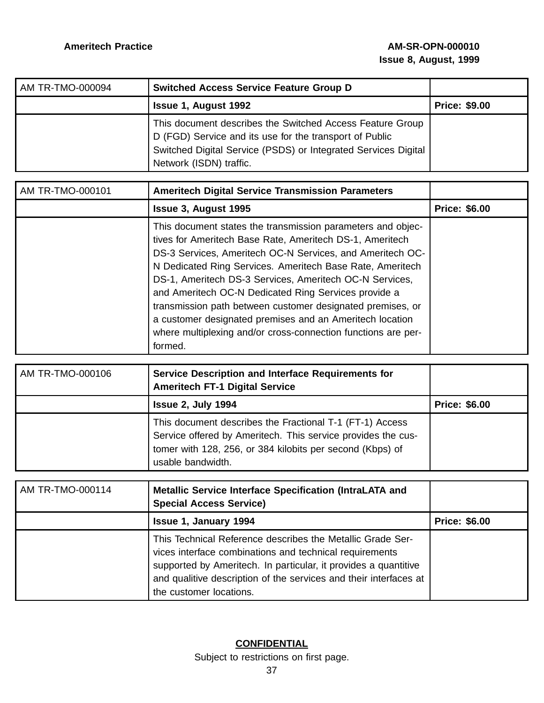| AM TR-TMO-000094 | <b>Switched Access Service Feature Group D</b>                                                                                                                                                                    |                      |
|------------------|-------------------------------------------------------------------------------------------------------------------------------------------------------------------------------------------------------------------|----------------------|
|                  | <b>Issue 1, August 1992</b>                                                                                                                                                                                       | <b>Price: \$9.00</b> |
|                  | This document describes the Switched Access Feature Group<br>D (FGD) Service and its use for the transport of Public<br>Switched Digital Service (PSDS) or Integrated Services Digital<br>Network (ISDN) traffic. |                      |

| AM TR-TMO-000101 | <b>Ameritech Digital Service Transmission Parameters</b>                                                                                                                                                                                                                                                                                                                                                                                                                                                                                                                   |                      |
|------------------|----------------------------------------------------------------------------------------------------------------------------------------------------------------------------------------------------------------------------------------------------------------------------------------------------------------------------------------------------------------------------------------------------------------------------------------------------------------------------------------------------------------------------------------------------------------------------|----------------------|
|                  | <b>Issue 3, August 1995</b>                                                                                                                                                                                                                                                                                                                                                                                                                                                                                                                                                | <b>Price: \$6.00</b> |
|                  | This document states the transmission parameters and objec-<br>tives for Ameritech Base Rate, Ameritech DS-1, Ameritech<br>DS-3 Services, Ameritech OC-N Services, and Ameritech OC-<br>N Dedicated Ring Services. Ameritech Base Rate, Ameritech<br>DS-1, Ameritech DS-3 Services, Ameritech OC-N Services,<br>and Ameritech OC-N Dedicated Ring Services provide a<br>transmission path between customer designated premises, or<br>a customer designated premises and an Ameritech location<br>where multiplexing and/or cross-connection functions are per-<br>formed. |                      |

| AM TR-TMO-000106 | Service Description and Interface Requirements for<br><b>Ameritech FT-1 Digital Service</b>                                                                                                                |                      |
|------------------|------------------------------------------------------------------------------------------------------------------------------------------------------------------------------------------------------------|----------------------|
|                  | <b>Issue 2, July 1994</b>                                                                                                                                                                                  | <b>Price: \$6.00</b> |
|                  | This document describes the Fractional T-1 (FT-1) Access<br>Service offered by Ameritech. This service provides the cus-<br>tomer with 128, 256, or 384 kilobits per second (Kbps) of<br>usable bandwidth. |                      |

| AM TR-TMO-000114 | Metallic Service Interface Specification (IntraLATA and<br><b>Special Access Service)</b>                                                                                                                                                                                                |                      |
|------------------|------------------------------------------------------------------------------------------------------------------------------------------------------------------------------------------------------------------------------------------------------------------------------------------|----------------------|
|                  | <b>Issue 1, January 1994</b>                                                                                                                                                                                                                                                             | <b>Price: \$6.00</b> |
|                  | This Technical Reference describes the Metallic Grade Ser-<br>vices interface combinations and technical requirements<br>supported by Ameritech. In particular, it provides a quantitive<br>and qualitive description of the services and their interfaces at<br>the customer locations. |                      |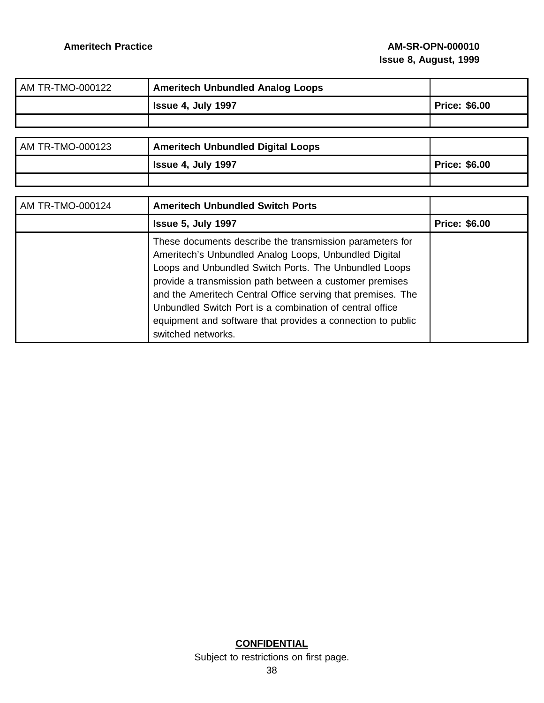| AM TR-TMO-000122 | <b>Ameritech Unbundled Analog Loops</b>                                                                                                                                    |                      |
|------------------|----------------------------------------------------------------------------------------------------------------------------------------------------------------------------|----------------------|
|                  | Issue 4, July 1997                                                                                                                                                         | <b>Price: \$6.00</b> |
|                  |                                                                                                                                                                            |                      |
|                  |                                                                                                                                                                            |                      |
| AM TR-TMO-000123 | <b>Ameritech Unbundled Digital Loops</b>                                                                                                                                   |                      |
|                  | Issue 4, July 1997                                                                                                                                                         | <b>Price: \$6.00</b> |
|                  |                                                                                                                                                                            |                      |
|                  |                                                                                                                                                                            |                      |
| AM TR-TMO-000124 | <b>Ameritech Unbundled Switch Ports</b>                                                                                                                                    |                      |
|                  | <b>Issue 5, July 1997</b>                                                                                                                                                  | <b>Price: \$6.00</b> |
|                  | These documents describe the transmission parameters for<br>Ameritech's Unbundled Analog Loops, Unbundled Digital<br>Loops and Unbundled Switch Ports. The Unbundled Loops |                      |

provide a transmission path between a customer premises and the Ameritech Central Office serving that premises. The Unbundled Switch Port is a combination of central office equipment and software that provides a connection to public

> **CONFIDENTIAL** Subject to restrictions on first page. 38

switched networks.